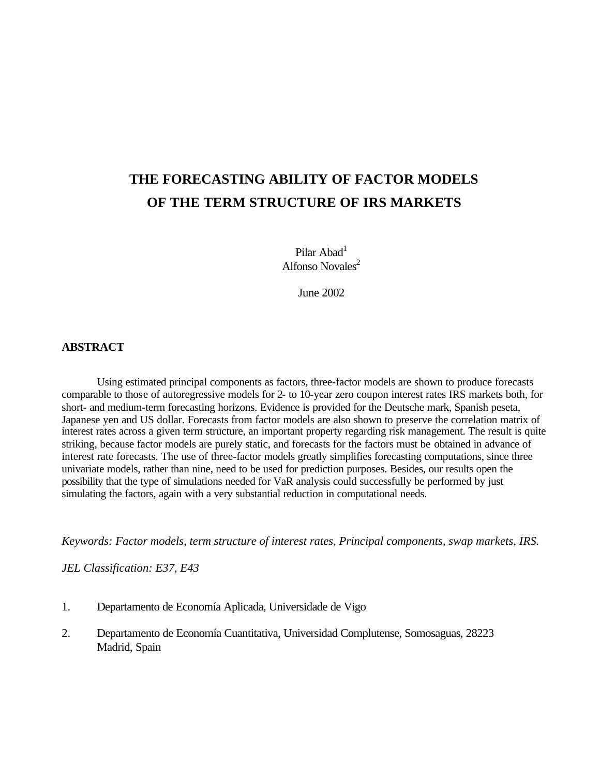# **THE FORECASTING ABILITY OF FACTOR MODELS OF THE TERM STRUCTURE OF IRS MARKETS**

Pilar Abad<sup>1</sup> Alfonso Novales<sup>2</sup>

June 2002

# **ABSTRACT**

Using estimated principal components as factors, three-factor models are shown to produce forecasts comparable to those of autoregressive models for 2- to 10-year zero coupon interest rates IRS markets both, for short- and medium-term forecasting horizons. Evidence is provided for the Deutsche mark, Spanish peseta, Japanese yen and US dollar. Forecasts from factor models are also shown to preserve the correlation matrix of interest rates across a given term structure, an important property regarding risk management. The result is quite striking, because factor models are purely static, and forecasts for the factors must be obtained in advance of interest rate forecasts. The use of three-factor models greatly simplifies forecasting computations, since three univariate models, rather than nine, need to be used for prediction purposes. Besides, our results open the possibility that the type of simulations needed for VaR analysis could successfully be performed by just simulating the factors, again with a very substantial reduction in computational needs.

*Keywords: Factor models, term structure of interest rates, Principal components, swap markets, IRS.*

*JEL Classification: E37, E43*

- 1. Departamento de Economía Aplicada, Universidade de Vigo
- 2. Departamento de Economía Cuantitativa, Universidad Complutense, Somosaguas, 28223 Madrid, Spain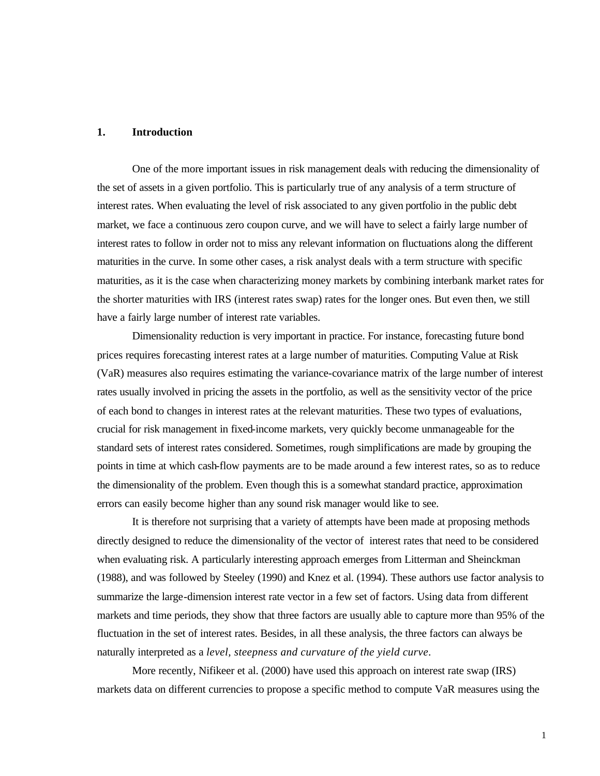# **1. Introduction**

One of the more important issues in risk management deals with reducing the dimensionality of the set of assets in a given portfolio. This is particularly true of any analysis of a term structure of interest rates. When evaluating the level of risk associated to any given portfolio in the public debt market, we face a continuous zero coupon curve, and we will have to select a fairly large number of interest rates to follow in order not to miss any relevant information on fluctuations along the different maturities in the curve. In some other cases, a risk analyst deals with a term structure with specific maturities, as it is the case when characterizing money markets by combining interbank market rates for the shorter maturities with IRS (interest rates swap) rates for the longer ones. But even then, we still have a fairly large number of interest rate variables.

Dimensionality reduction is very important in practice. For instance, forecasting future bond prices requires forecasting interest rates at a large number of maturities. Computing Value at Risk (VaR) measures also requires estimating the variance-covariance matrix of the large number of interest rates usually involved in pricing the assets in the portfolio, as well as the sensitivity vector of the price of each bond to changes in interest rates at the relevant maturities. These two types of evaluations, crucial for risk management in fixed-income markets, very quickly become unmanageable for the standard sets of interest rates considered. Sometimes, rough simplifications are made by grouping the points in time at which cash-flow payments are to be made around a few interest rates, so as to reduce the dimensionality of the problem. Even though this is a somewhat standard practice, approximation errors can easily become higher than any sound risk manager would like to see.

It is therefore not surprising that a variety of attempts have been made at proposing methods directly designed to reduce the dimensionality of the vector of interest rates that need to be considered when evaluating risk. A particularly interesting approach emerges from Litterman and Sheinckman (1988), and was followed by Steeley (1990) and Knez et al. (1994). These authors use factor analysis to summarize the large-dimension interest rate vector in a few set of factors. Using data from different markets and time periods, they show that three factors are usually able to capture more than 95% of the fluctuation in the set of interest rates. Besides, in all these analysis, the three factors can always be naturally interpreted as a *level, steepness and curvature of the yield curve*.

More recently, Nifikeer et al. (2000) have used this approach on interest rate swap (IRS) markets data on different currencies to propose a specific method to compute VaR measures using the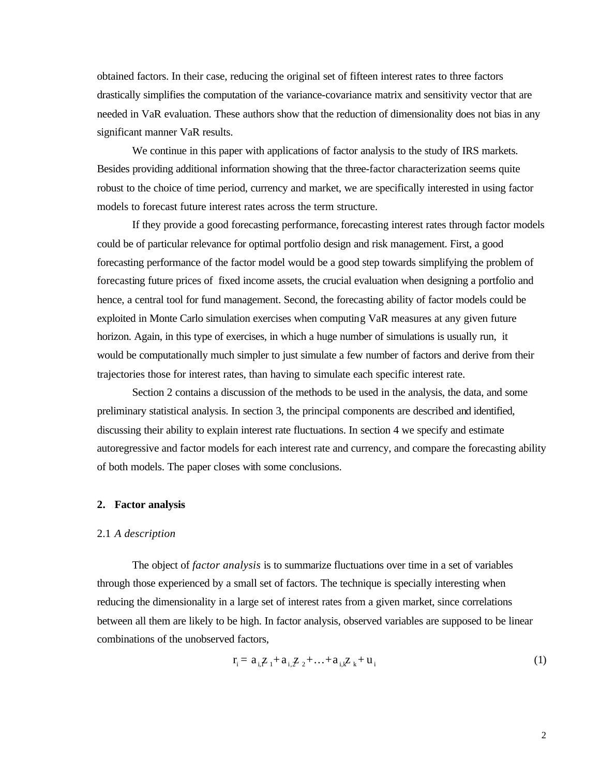obtained factors. In their case, reducing the original set of fifteen interest rates to three factors drastically simplifies the computation of the variance-covariance matrix and sensitivity vector that are needed in VaR evaluation. These authors show that the reduction of dimensionality does not bias in any significant manner VaR results.

We continue in this paper with applications of factor analysis to the study of IRS markets. Besides providing additional information showing that the three-factor characterization seems quite robust to the choice of time period, currency and market, we are specifically interested in using factor models to forecast future interest rates across the term structure.

If they provide a good forecasting performance, forecasting interest rates through factor models could be of particular relevance for optimal portfolio design and risk management. First, a good forecasting performance of the factor model would be a good step towards simplifying the problem of forecasting future prices of fixed income assets, the crucial evaluation when designing a portfolio and hence, a central tool for fund management. Second, the forecasting ability of factor models could be exploited in Monte Carlo simulation exercises when computing VaR measures at any given future horizon. Again, in this type of exercises, in which a huge number of simulations is usually run, it would be computationally much simpler to just simulate a few number of factors and derive from their trajectories those for interest rates, than having to simulate each specific interest rate.

Section 2 contains a discussion of the methods to be used in the analysis, the data, and some preliminary statistical analysis. In section 3, the principal components are described and identified, discussing their ability to explain interest rate fluctuations. In section 4 we specify and estimate autoregressive and factor models for each interest rate and currency, and compare the forecasting ability of both models. The paper closes with some conclusions.

# **2. Factor analysis**

## 2.1 *A description*

The object of *factor analysis* is to summarize fluctuations over time in a set of variables through those experienced by a small set of factors. The technique is specially interesting when reducing the dimensionality in a large set of interest rates from a given market, since correlations between all them are likely to be high. In factor analysis, observed variables are supposed to be linear combinations of the unobserved factors,

$$
r_i = a_{i,1} z_1 + a_{i,2} z_2 + \ldots + a_{i,k} z_k + u_i
$$
 (1)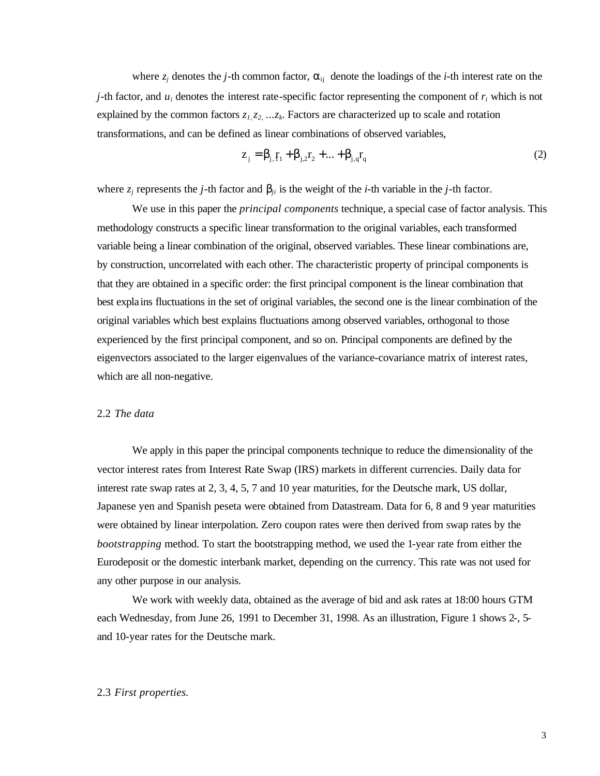where  $z_j$  denotes the *j*-th common factor,  $\alpha_{ij}$  denote the loadings of the *i*-th interest rate on the *j*-th factor, and  $u_i$  denotes the interest rate-specific factor representing the component of  $r_i$  which is not explained by the common factors *z1,z2, ...z<sup>k</sup>* . Factors are characterized up to scale and rotation transformations, and can be defined as linear combinations of observed variables,

$$
z_{j} = \beta_{j,} r_{1} + \beta_{j,2} r_{2} + ... + \beta_{j,q} r_{q}
$$
 (2)

where  $z_j$  represents the *j*-th factor and  $\mathbf{b}_{ji}$  is the weight of the *i*-th variable in the *j*-th factor.

We use in this paper the *principal components* technique, a special case of factor analysis. This methodology constructs a specific linear transformation to the original variables, each transformed variable being a linear combination of the original, observed variables. These linear combinations are, by construction, uncorrelated with each other. The characteristic property of principal components is that they are obtained in a specific order: the first principal component is the linear combination that best explains fluctuations in the set of original variables, the second one is the linear combination of the original variables which best explains fluctuations among observed variables, orthogonal to those experienced by the first principal component, and so on. Principal components are defined by the eigenvectors associated to the larger eigenvalues of the variance-covariance matrix of interest rates, which are all non-negative.

## 2.2 *The data*

We apply in this paper the principal components technique to reduce the dimensionality of the vector interest rates from Interest Rate Swap (IRS) markets in different currencies. Daily data for interest rate swap rates at 2, 3, 4, 5, 7 and 10 year maturities, for the Deutsche mark, US dollar, Japanese yen and Spanish peseta were obtained from Datastream. Data for 6, 8 and 9 year maturities were obtained by linear interpolation. Zero coupon rates were then derived from swap rates by the *bootstrapping* method. To start the bootstrapping method, we used the 1-year rate from either the Eurodeposit or the domestic interbank market, depending on the currency. This rate was not used for any other purpose in our analysis.

We work with weekly data, obtained as the average of bid and ask rates at 18:00 hours GTM each Wednesday, from June 26, 1991 to December 31, 1998. As an illustration, Figure 1 shows 2-, 5 and 10-year rates for the Deutsche mark.

#### 2.3 *First properties.*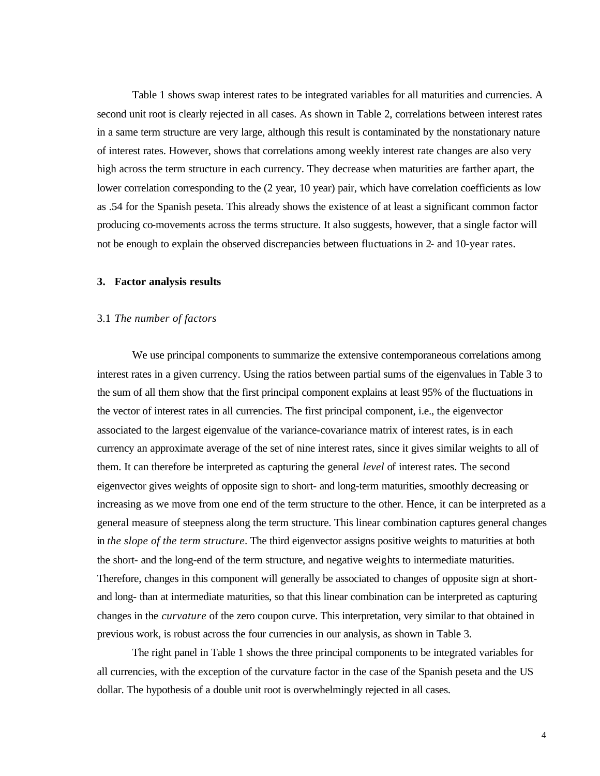Table 1 shows swap interest rates to be integrated variables for all maturities and currencies. A second unit root is clearly rejected in all cases. As shown in Table 2, correlations between interest rates in a same term structure are very large, although this result is contaminated by the nonstationary nature of interest rates. However, shows that correlations among weekly interest rate changes are also very high across the term structure in each currency. They decrease when maturities are farther apart, the lower correlation corresponding to the  $(2 \text{ year}, 10 \text{ year})$  pair, which have correlation coefficients as low as .54 for the Spanish peseta. This already shows the existence of at least a significant common factor producing co-movements across the terms structure. It also suggests, however, that a single factor will not be enough to explain the observed discrepancies between fluctuations in 2- and 10-year rates.

#### **3. Factor analysis results**

## 3.1 *The number of factors*

We use principal components to summarize the extensive contemporaneous correlations among interest rates in a given currency. Using the ratios between partial sums of the eigenvalues in Table 3 to the sum of all them show that the first principal component explains at least 95% of the fluctuations in the vector of interest rates in all currencies. The first principal component, i.e., the eigenvector associated to the largest eigenvalue of the variance-covariance matrix of interest rates, is in each currency an approximate average of the set of nine interest rates, since it gives similar weights to all of them. It can therefore be interpreted as capturing the general *level* of interest rates. The second eigenvector gives weights of opposite sign to short- and long-term maturities, smoothly decreasing or increasing as we move from one end of the term structure to the other. Hence, it can be interpreted as a general measure of steepness along the term structure. This linear combination captures general changes in *the slope of the term structure*. The third eigenvector assigns positive weights to maturities at both the short- and the long-end of the term structure, and negative weights to intermediate maturities. Therefore, changes in this component will generally be associated to changes of opposite sign at shortand long- than at intermediate maturities, so that this linear combination can be interpreted as capturing changes in the *curvature* of the zero coupon curve. This interpretation, very similar to that obtained in previous work, is robust across the four currencies in our analysis, as shown in Table 3.

The right panel in Table 1 shows the three principal components to be integrated variables for all currencies, with the exception of the curvature factor in the case of the Spanish peseta and the US dollar. The hypothesis of a double unit root is overwhelmingly rejected in all cases.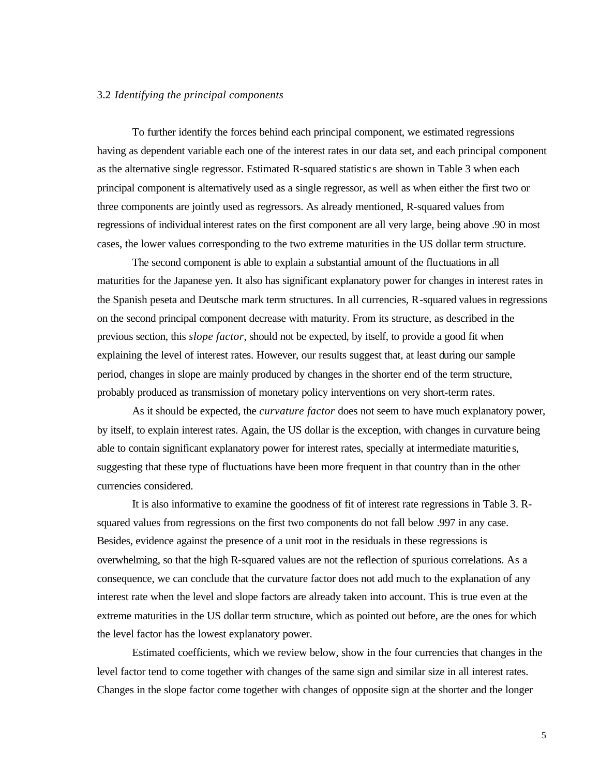#### 3.2 *Identifying the principal components*

To further identify the forces behind each principal component, we estimated regressions having as dependent variable each one of the interest rates in our data set, and each principal component as the alternative single regressor. Estimated R-squared statistic s are shown in Table 3 when each principal component is alternatively used as a single regressor, as well as when either the first two or three components are jointly used as regressors. As already mentioned, R-squared values from regressions of individual interest rates on the first component are all very large, being above .90 in most cases, the lower values corresponding to the two extreme maturities in the US dollar term structure.

The second component is able to explain a substantial amount of the fluctuations in all maturities for the Japanese yen. It also has significant explanatory power for changes in interest rates in the Spanish peseta and Deutsche mark term structures. In all currencies, R-squared values in regressions on the second principal component decrease with maturity. From its structure, as described in the previous section, this *slope factor*, should not be expected, by itself, to provide a good fit when explaining the level of interest rates. However, our results suggest that, at least during our sample period, changes in slope are mainly produced by changes in the shorter end of the term structure, probably produced as transmission of monetary policy interventions on very short-term rates.

As it should be expected, the *curvature factor* does not seem to have much explanatory power, by itself, to explain interest rates. Again, the US dollar is the exception, with changes in curvature being able to contain significant explanatory power for interest rates, specially at intermediate maturitie s, suggesting that these type of fluctuations have been more frequent in that country than in the other currencies considered.

It is also informative to examine the goodness of fit of interest rate regressions in Table 3. Rsquared values from regressions on the first two components do not fall below .997 in any case. Besides, evidence against the presence of a unit root in the residuals in these regressions is overwhelming, so that the high R-squared values are not the reflection of spurious correlations. As a consequence, we can conclude that the curvature factor does not add much to the explanation of any interest rate when the level and slope factors are already taken into account. This is true even at the extreme maturities in the US dollar term structure, which as pointed out before, are the ones for which the level factor has the lowest explanatory power.

Estimated coefficients, which we review below, show in the four currencies that changes in the level factor tend to come together with changes of the same sign and similar size in all interest rates. Changes in the slope factor come together with changes of opposite sign at the shorter and the longer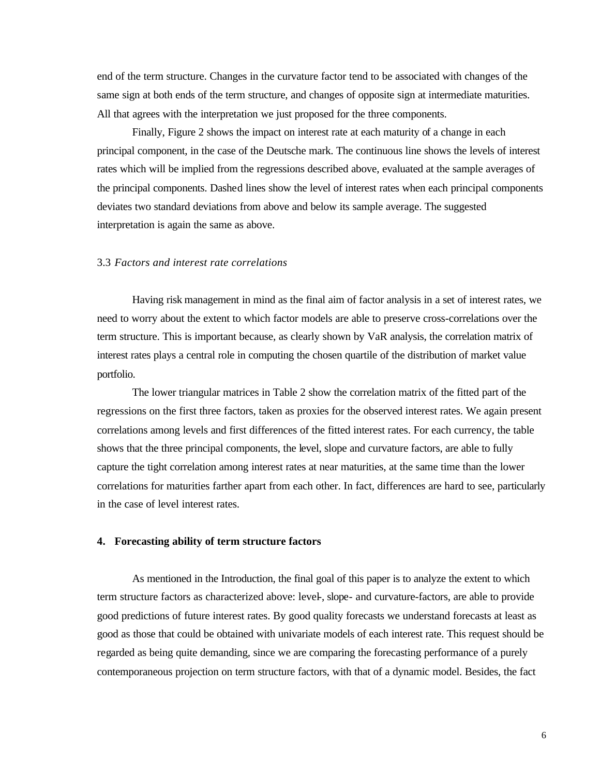end of the term structure. Changes in the curvature factor tend to be associated with changes of the same sign at both ends of the term structure, and changes of opposite sign at intermediate maturities. All that agrees with the interpretation we just proposed for the three components.

Finally, Figure 2 shows the impact on interest rate at each maturity of a change in each principal component, in the case of the Deutsche mark. The continuous line shows the levels of interest rates which will be implied from the regressions described above, evaluated at the sample averages of the principal components. Dashed lines show the level of interest rates when each principal components deviates two standard deviations from above and below its sample average. The suggested interpretation is again the same as above.

# 3.3 *Factors and interest rate correlations*

Having risk management in mind as the final aim of factor analysis in a set of interest rates, we need to worry about the extent to which factor models are able to preserve cross-correlations over the term structure. This is important because, as clearly shown by VaR analysis, the correlation matrix of interest rates plays a central role in computing the chosen quartile of the distribution of market value portfolio.

The lower triangular matrices in Table 2 show the correlation matrix of the fitted part of the regressions on the first three factors, taken as proxies for the observed interest rates. We again present correlations among levels and first differences of the fitted interest rates. For each currency, the table shows that the three principal components, the level, slope and curvature factors, are able to fully capture the tight correlation among interest rates at near maturities, at the same time than the lower correlations for maturities farther apart from each other. In fact, differences are hard to see, particularly in the case of level interest rates.

# **4. Forecasting ability of term structure factors**

As mentioned in the Introduction, the final goal of this paper is to analyze the extent to which term structure factors as characterized above: level-, slope- and curvature-factors, are able to provide good predictions of future interest rates. By good quality forecasts we understand forecasts at least as good as those that could be obtained with univariate models of each interest rate. This request should be regarded as being quite demanding, since we are comparing the forecasting performance of a purely contemporaneous projection on term structure factors, with that of a dynamic model. Besides, the fact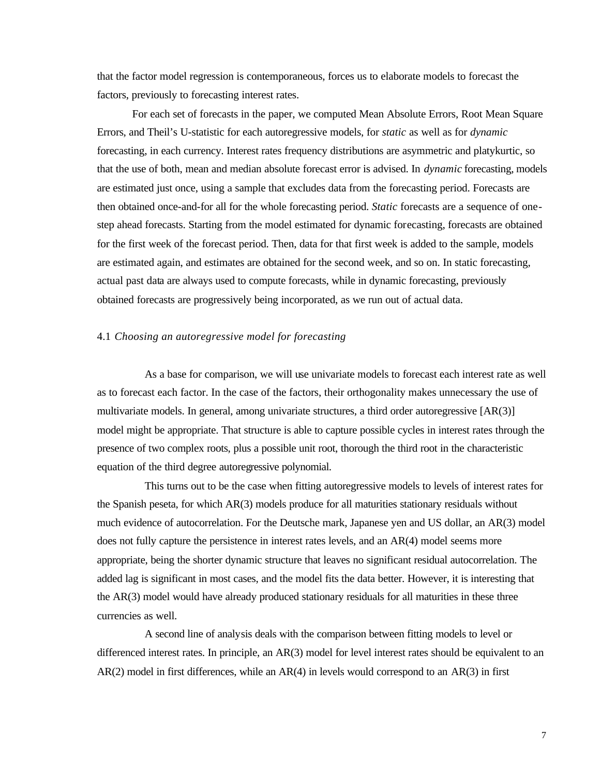that the factor model regression is contemporaneous, forces us to elaborate models to forecast the factors, previously to forecasting interest rates.

For each set of forecasts in the paper, we computed Mean Absolute Errors, Root Mean Square Errors, and Theil's U-statistic for each autoregressive models, for *static* as well as for *dynamic* forecasting, in each currency. Interest rates frequency distributions are asymmetric and platykurtic, so that the use of both, mean and median absolute forecast error is advised. In *dynamic* forecasting, models are estimated just once, using a sample that excludes data from the forecasting period. Forecasts are then obtained once-and-for all for the whole forecasting period. *Static* forecasts are a sequence of onestep ahead forecasts. Starting from the model estimated for dynamic forecasting, forecasts are obtained for the first week of the forecast period. Then, data for that first week is added to the sample, models are estimated again, and estimates are obtained for the second week, and so on. In static forecasting, actual past data are always used to compute forecasts, while in dynamic forecasting, previously obtained forecasts are progressively being incorporated, as we run out of actual data.

# 4.1 *Choosing an autoregressive model for forecasting*

As a base for comparison, we will use univariate models to forecast each interest rate as well as to forecast each factor. In the case of the factors, their orthogonality makes unnecessary the use of multivariate models. In general, among univariate structures, a third order autoregressive [AR(3)] model might be appropriate. That structure is able to capture possible cycles in interest rates through the presence of two complex roots, plus a possible unit root, thorough the third root in the characteristic equation of the third degree autoregressive polynomial.

This turns out to be the case when fitting autoregressive models to levels of interest rates for the Spanish peseta, for which AR(3) models produce for all maturities stationary residuals without much evidence of autocorrelation. For the Deutsche mark, Japanese yen and US dollar, an AR(3) model does not fully capture the persistence in interest rates levels, and an AR(4) model seems more appropriate, being the shorter dynamic structure that leaves no significant residual autocorrelation. The added lag is significant in most cases, and the model fits the data better. However, it is interesting that the AR(3) model would have already produced stationary residuals for all maturities in these three currencies as well.

A second line of analysis deals with the comparison between fitting models to level or differenced interest rates. In principle, an AR(3) model for level interest rates should be equivalent to an AR(2) model in first differences, while an AR(4) in levels would correspond to an AR(3) in first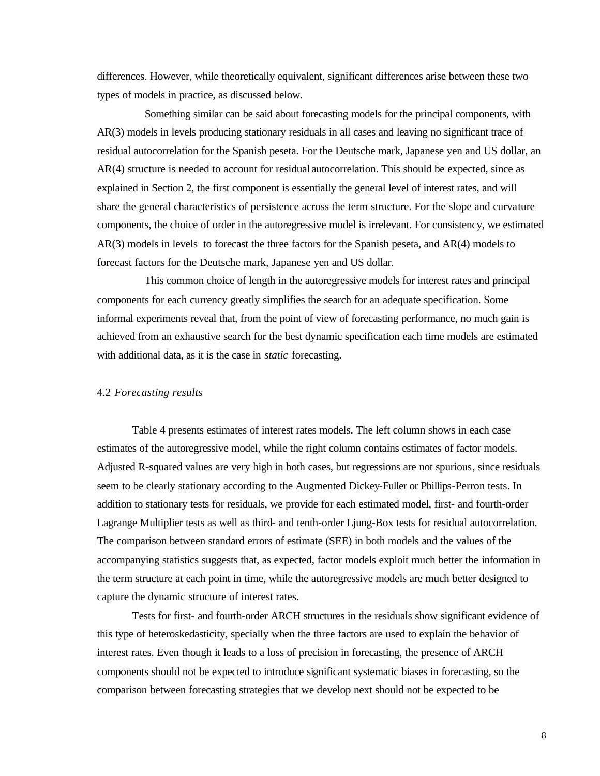differences. However, while theoretically equivalent, significant differences arise between these two types of models in practice, as discussed below.

Something similar can be said about forecasting models for the principal components, with AR(3) models in levels producing stationary residuals in all cases and leaving no significant trace of residual autocorrelation for the Spanish peseta. For the Deutsche mark, Japanese yen and US dollar, an AR(4) structure is needed to account for residual autocorrelation. This should be expected, since as explained in Section 2, the first component is essentially the general level of interest rates, and will share the general characteristics of persistence across the term structure. For the slope and curvature components, the choice of order in the autoregressive model is irrelevant. For consistency, we estimated AR(3) models in levels to forecast the three factors for the Spanish peseta, and AR(4) models to forecast factors for the Deutsche mark, Japanese yen and US dollar.

This common choice of length in the autoregressive models for interest rates and principal components for each currency greatly simplifies the search for an adequate specification. Some informal experiments reveal that, from the point of view of forecasting performance, no much gain is achieved from an exhaustive search for the best dynamic specification each time models are estimated with additional data, as it is the case in *static* forecasting.

# 4.2 *Forecasting results*

Table 4 presents estimates of interest rates models. The left column shows in each case estimates of the autoregressive model, while the right column contains estimates of factor models. Adjusted R-squared values are very high in both cases, but regressions are not spurious, since residuals seem to be clearly stationary according to the Augmented Dickey-Fuller or Phillips-Perron tests. In addition to stationary tests for residuals, we provide for each estimated model, first- and fourth-order Lagrange Multiplier tests as well as third- and tenth-order Ljung-Box tests for residual autocorrelation. The comparison between standard errors of estimate (SEE) in both models and the values of the accompanying statistics suggests that, as expected, factor models exploit much better the information in the term structure at each point in time, while the autoregressive models are much better designed to capture the dynamic structure of interest rates.

Tests for first- and fourth-order ARCH structures in the residuals show significant evidence of this type of heteroskedasticity, specially when the three factors are used to explain the behavior of interest rates. Even though it leads to a loss of precision in forecasting, the presence of ARCH components should not be expected to introduce significant systematic biases in forecasting, so the comparison between forecasting strategies that we develop next should not be expected to be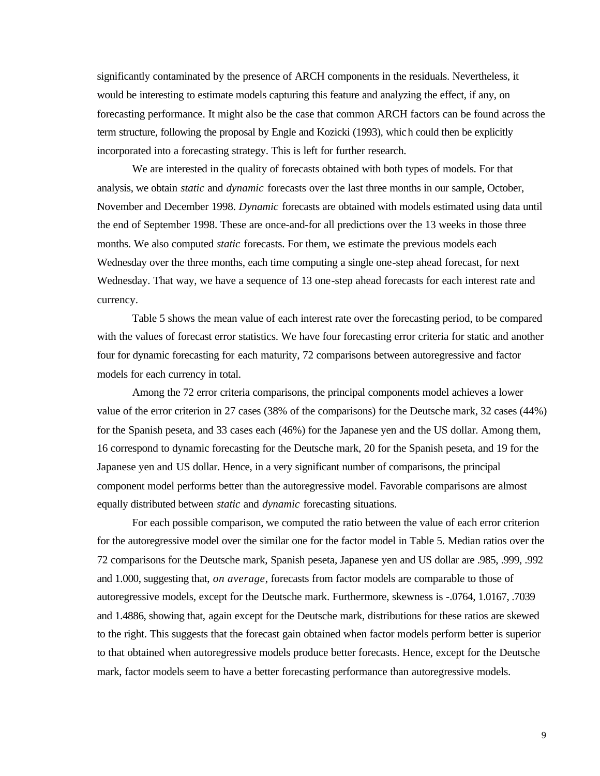significantly contaminated by the presence of ARCH components in the residuals. Nevertheless, it would be interesting to estimate models capturing this feature and analyzing the effect, if any, on forecasting performance. It might also be the case that common ARCH factors can be found across the term structure, following the proposal by Engle and Kozicki (1993), which could then be explicitly incorporated into a forecasting strategy. This is left for further research.

We are interested in the quality of forecasts obtained with both types of models. For that analysis, we obtain *static* and *dynamic* forecasts over the last three months in our sample, October, November and December 1998. *Dynamic* forecasts are obtained with models estimated using data until the end of September 1998. These are once-and-for all predictions over the 13 weeks in those three months. We also computed *static* forecasts. For them, we estimate the previous models each Wednesday over the three months, each time computing a single one-step ahead forecast, for next Wednesday. That way, we have a sequence of 13 one-step ahead forecasts for each interest rate and currency.

Table 5 shows the mean value of each interest rate over the forecasting period, to be compared with the values of forecast error statistics. We have four forecasting error criteria for static and another four for dynamic forecasting for each maturity, 72 comparisons between autoregressive and factor models for each currency in total.

Among the 72 error criteria comparisons, the principal components model achieves a lower value of the error criterion in 27 cases (38% of the comparisons) for the Deutsche mark, 32 cases (44%) for the Spanish peseta, and 33 cases each (46%) for the Japanese yen and the US dollar. Among them, 16 correspond to dynamic forecasting for the Deutsche mark, 20 for the Spanish peseta, and 19 for the Japanese yen and US dollar. Hence, in a very significant number of comparisons, the principal component model performs better than the autoregressive model. Favorable comparisons are almost equally distributed between *static* and *dynamic* forecasting situations.

For each possible comparison, we computed the ratio between the value of each error criterion for the autoregressive model over the similar one for the factor model in Table 5. Median ratios over the 72 comparisons for the Deutsche mark, Spanish peseta, Japanese yen and US dollar are .985, .999, .992 and 1.000, suggesting that, *on average*, forecasts from factor models are comparable to those of autoregressive models, except for the Deutsche mark. Furthermore, skewness is -.0764, 1.0167, .7039 and 1.4886, showing that, again except for the Deutsche mark, distributions for these ratios are skewed to the right. This suggests that the forecast gain obtained when factor models perform better is superior to that obtained when autoregressive models produce better forecasts. Hence, except for the Deutsche mark, factor models seem to have a better forecasting performance than autoregressive models.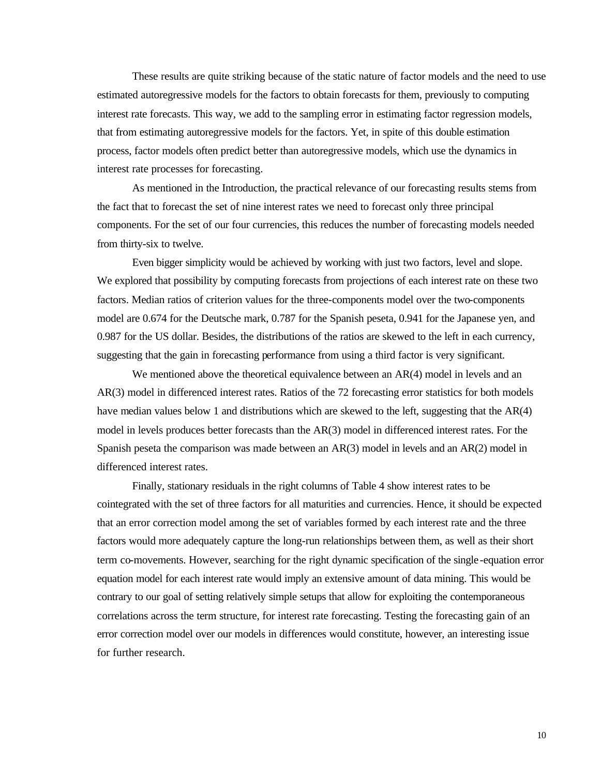These results are quite striking because of the static nature of factor models and the need to use estimated autoregressive models for the factors to obtain forecasts for them, previously to computing interest rate forecasts. This way, we add to the sampling error in estimating factor regression models, that from estimating autoregressive models for the factors. Yet, in spite of this double estimation process, factor models often predict better than autoregressive models, which use the dynamics in interest rate processes for forecasting.

As mentioned in the Introduction, the practical relevance of our forecasting results stems from the fact that to forecast the set of nine interest rates we need to forecast only three principal components. For the set of our four currencies, this reduces the number of forecasting models needed from thirty-six to twelve.

Even bigger simplicity would be achieved by working with just two factors, level and slope. We explored that possibility by computing forecasts from projections of each interest rate on these two factors. Median ratios of criterion values for the three-components model over the two-components model are 0.674 for the Deutsche mark, 0.787 for the Spanish peseta, 0.941 for the Japanese yen, and 0.987 for the US dollar. Besides, the distributions of the ratios are skewed to the left in each currency, suggesting that the gain in forecasting performance from using a third factor is very significant.

We mentioned above the theoretical equivalence between an AR(4) model in levels and an AR(3) model in differenced interest rates. Ratios of the 72 forecasting error statistics for both models have median values below 1 and distributions which are skewed to the left, suggesting that the AR(4) model in levels produces better forecasts than the AR(3) model in differenced interest rates. For the Spanish peseta the comparison was made between an AR(3) model in levels and an AR(2) model in differenced interest rates.

Finally, stationary residuals in the right columns of Table 4 show interest rates to be cointegrated with the set of three factors for all maturities and currencies. Hence, it should be expected that an error correction model among the set of variables formed by each interest rate and the three factors would more adequately capture the long-run relationships between them, as well as their short term co-movements. However, searching for the right dynamic specification of the single-equation error equation model for each interest rate would imply an extensive amount of data mining. This would be contrary to our goal of setting relatively simple setups that allow for exploiting the contemporaneous correlations across the term structure, for interest rate forecasting. Testing the forecasting gain of an error correction model over our models in differences would constitute, however, an interesting issue for further research.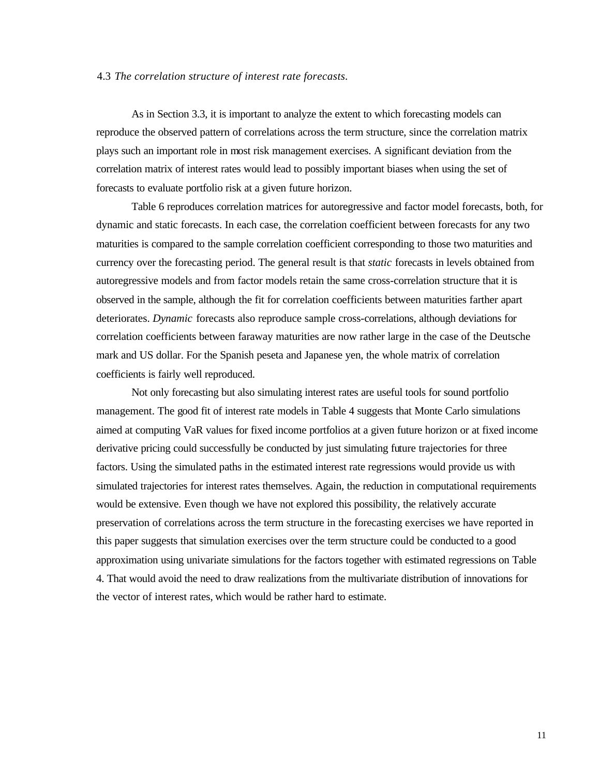## 4.3 *The correlation structure of interest rate forecasts.*

As in Section 3.3, it is important to analyze the extent to which forecasting models can reproduce the observed pattern of correlations across the term structure, since the correlation matrix plays such an important role in most risk management exercises. A significant deviation from the correlation matrix of interest rates would lead to possibly important biases when using the set of forecasts to evaluate portfolio risk at a given future horizon.

Table 6 reproduces correlation matrices for autoregressive and factor model forecasts, both, for dynamic and static forecasts. In each case, the correlation coefficient between forecasts for any two maturities is compared to the sample correlation coefficient corresponding to those two maturities and currency over the forecasting period. The general result is that *static* forecasts in levels obtained from autoregressive models and from factor models retain the same cross-correlation structure that it is observed in the sample, although the fit for correlation coefficients between maturities farther apart deteriorates. *Dynamic* forecasts also reproduce sample cross-correlations, although deviations for correlation coefficients between faraway maturities are now rather large in the case of the Deutsche mark and US dollar. For the Spanish peseta and Japanese yen, the whole matrix of correlation coefficients is fairly well reproduced.

Not only forecasting but also simulating interest rates are useful tools for sound portfolio management. The good fit of interest rate models in Table 4 suggests that Monte Carlo simulations aimed at computing VaR values for fixed income portfolios at a given future horizon or at fixed income derivative pricing could successfully be conducted by just simulating future trajectories for three factors. Using the simulated paths in the estimated interest rate regressions would provide us with simulated trajectories for interest rates themselves. Again, the reduction in computational requirements would be extensive. Even though we have not explored this possibility, the relatively accurate preservation of correlations across the term structure in the forecasting exercises we have reported in this paper suggests that simulation exercises over the term structure could be conducted to a good approximation using univariate simulations for the factors together with estimated regressions on Table 4. That would avoid the need to draw realizations from the multivariate distribution of innovations for the vector of interest rates, which would be rather hard to estimate.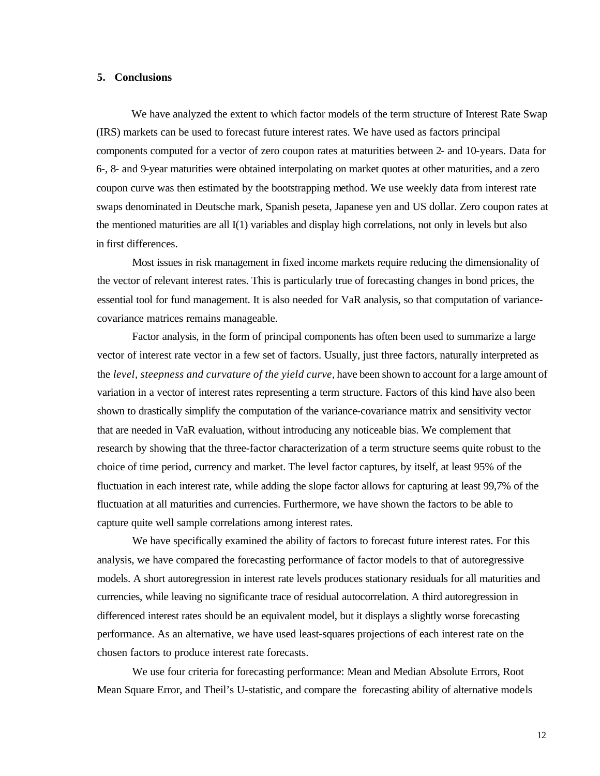## **5. Conclusions**

We have analyzed the extent to which factor models of the term structure of Interest Rate Swap (IRS) markets can be used to forecast future interest rates. We have used as factors principal components computed for a vector of zero coupon rates at maturities between 2- and 10-years. Data for 6-, 8- and 9-year maturities were obtained interpolating on market quotes at other maturities, and a zero coupon curve was then estimated by the bootstrapping method. We use weekly data from interest rate swaps denominated in Deutsche mark, Spanish peseta, Japanese yen and US dollar. Zero coupon rates at the mentioned maturities are all I(1) variables and display high correlations, not only in levels but also in first differences.

Most issues in risk management in fixed income markets require reducing the dimensionality of the vector of relevant interest rates. This is particularly true of forecasting changes in bond prices, the essential tool for fund management. It is also needed for VaR analysis, so that computation of variancecovariance matrices remains manageable.

Factor analysis, in the form of principal components has often been used to summarize a large vector of interest rate vector in a few set of factors. Usually, just three factors, naturally interpreted as the *level, steepness and curvature of the yield curve*, have been shown to account for a large amount of variation in a vector of interest rates representing a term structure. Factors of this kind have also been shown to drastically simplify the computation of the variance-covariance matrix and sensitivity vector that are needed in VaR evaluation, without introducing any noticeable bias. We complement that research by showing that the three-factor characterization of a term structure seems quite robust to the choice of time period, currency and market. The level factor captures, by itself, at least 95% of the fluctuation in each interest rate, while adding the slope factor allows for capturing at least 99,7% of the fluctuation at all maturities and currencies. Furthermore, we have shown the factors to be able to capture quite well sample correlations among interest rates.

We have specifically examined the ability of factors to forecast future interest rates. For this analysis, we have compared the forecasting performance of factor models to that of autoregressive models. A short autoregression in interest rate levels produces stationary residuals for all maturities and currencies, while leaving no significante trace of residual autocorrelation. A third autoregression in differenced interest rates should be an equivalent model, but it displays a slightly worse forecasting performance. As an alternative, we have used least-squares projections of each interest rate on the chosen factors to produce interest rate forecasts.

We use four criteria for forecasting performance: Mean and Median Absolute Errors, Root Mean Square Error, and Theil's U-statistic, and compare the forecasting ability of alternative models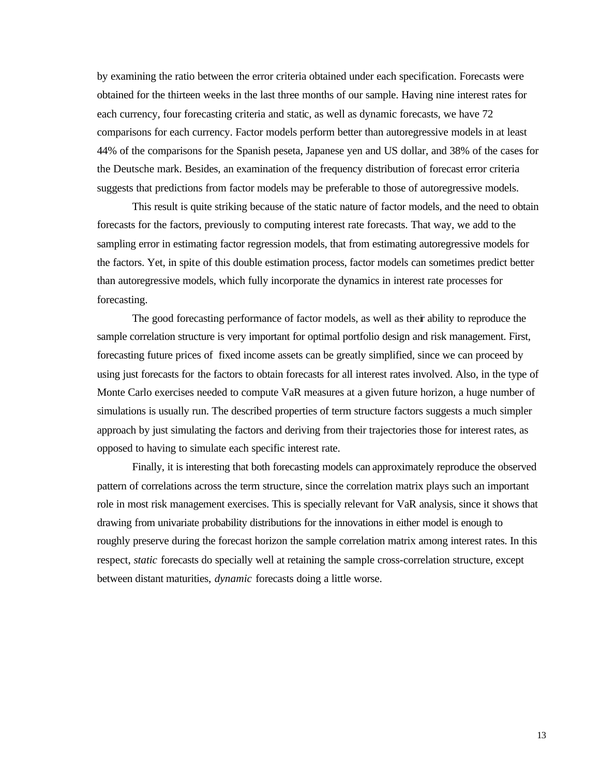by examining the ratio between the error criteria obtained under each specification. Forecasts were obtained for the thirteen weeks in the last three months of our sample. Having nine interest rates for each currency, four forecasting criteria and static, as well as dynamic forecasts, we have 72 comparisons for each currency. Factor models perform better than autoregressive models in at least 44% of the comparisons for the Spanish peseta, Japanese yen and US dollar, and 38% of the cases for the Deutsche mark. Besides, an examination of the frequency distribution of forecast error criteria suggests that predictions from factor models may be preferable to those of autoregressive models.

This result is quite striking because of the static nature of factor models, and the need to obtain forecasts for the factors, previously to computing interest rate forecasts. That way, we add to the sampling error in estimating factor regression models, that from estimating autoregressive models for the factors. Yet, in spite of this double estimation process, factor models can sometimes predict better than autoregressive models, which fully incorporate the dynamics in interest rate processes for forecasting.

The good forecasting performance of factor models, as well as their ability to reproduce the sample correlation structure is very important for optimal portfolio design and risk management. First, forecasting future prices of fixed income assets can be greatly simplified, since we can proceed by using just forecasts for the factors to obtain forecasts for all interest rates involved. Also, in the type of Monte Carlo exercises needed to compute VaR measures at a given future horizon, a huge number of simulations is usually run. The described properties of term structure factors suggests a much simpler approach by just simulating the factors and deriving from their trajectories those for interest rates, as opposed to having to simulate each specific interest rate.

Finally, it is interesting that both forecasting models can approximately reproduce the observed pattern of correlations across the term structure, since the correlation matrix plays such an important role in most risk management exercises. This is specially relevant for VaR analysis, since it shows that drawing from univariate probability distributions for the innovations in either model is enough to roughly preserve during the forecast horizon the sample correlation matrix among interest rates. In this respect, *static* forecasts do specially well at retaining the sample cross-correlation structure, except between distant maturities, *dynamic* forecasts doing a little worse.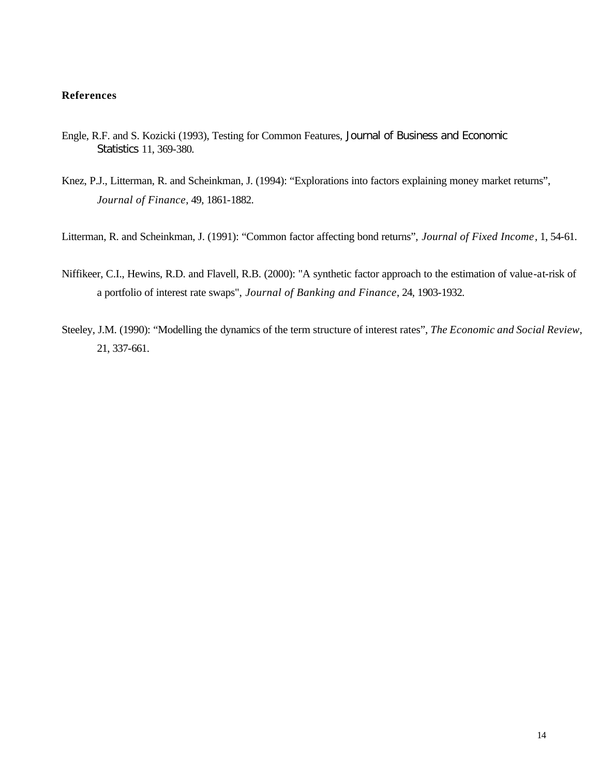# **References**

- Engle, R.F. and S. Kozicki (1993), Testing for Common Features, Journal of Business and Economic Statistics 11, 369-380.
- Knez, P.J., Litterman, R. and Scheinkman, J. (1994): "Explorations into factors explaining money market returns", *Journal of Finance*, 49, 1861-1882.
- Litterman, R. and Scheinkman, J. (1991): "Common factor affecting bond returns", *Journal of Fixed Income*, 1, 54-61.
- Niffikeer, C.I., Hewins, R.D. and Flavell, R.B. (2000): "A synthetic factor approach to the estimation of value-at-risk of a portfolio of interest rate swaps", *Journal of Banking and Finance*, 24, 1903-1932.
- Steeley, J.M. (1990): "Modelling the dynamics of the term structure of interest rates", *The Economic and Social Review*, 21, 337-661.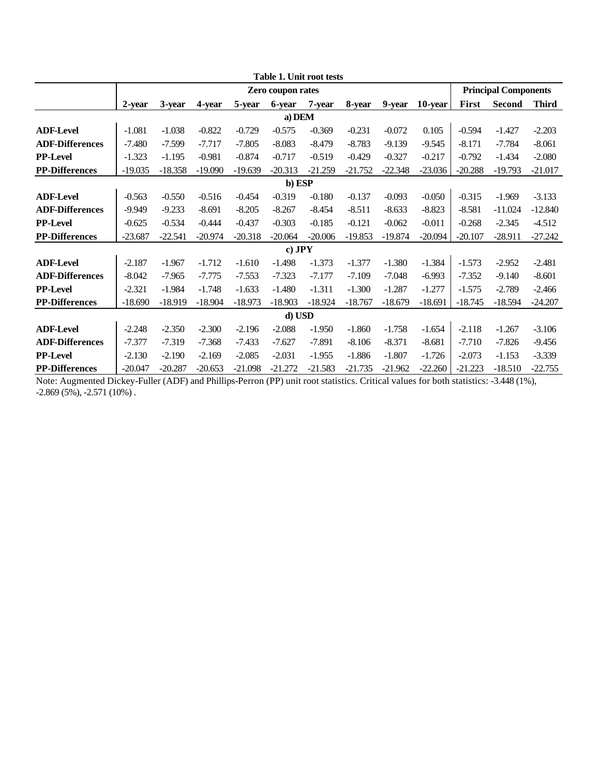|                        | <b>Table 1. Unit root tests</b><br><b>Principal Components</b><br><b>Zero coupon rates</b> |           |           |           |           |           |           |           |           |           |               |              |  |  |  |
|------------------------|--------------------------------------------------------------------------------------------|-----------|-----------|-----------|-----------|-----------|-----------|-----------|-----------|-----------|---------------|--------------|--|--|--|
|                        |                                                                                            |           |           |           |           |           |           |           |           |           |               |              |  |  |  |
|                        | 2-year                                                                                     | 3-year    | 4-year    | 5-year    | 6-year    | 7-year    | 8-year    | 9-year    | 10-year   | First     | <b>Second</b> | <b>Third</b> |  |  |  |
|                        |                                                                                            |           |           |           | a) DEM    |           |           |           |           |           |               |              |  |  |  |
| <b>ADF-Level</b>       | $-1.081$                                                                                   | $-1.038$  | $-0.822$  | $-0.729$  | $-0.575$  | $-0.369$  | $-0.231$  | $-0.072$  | 0.105     | $-0.594$  | $-1.427$      | $-2.203$     |  |  |  |
| <b>ADF-Differences</b> | $-7.480$                                                                                   | $-7.599$  | $-7.717$  | $-7.805$  | $-8.083$  | $-8.479$  | $-8.783$  | $-9.139$  | $-9.545$  | $-8.171$  | $-7.784$      | $-8.061$     |  |  |  |
| <b>PP-Level</b>        | $-1.323$                                                                                   | $-1.195$  | $-0.981$  | $-0.874$  | $-0.717$  | $-0.519$  | $-0.429$  | $-0.327$  | $-0.217$  | $-0.792$  | $-1.434$      | $-2.080$     |  |  |  |
| <b>PP-Differences</b>  | $-19.035$                                                                                  | $-18.358$ | $-19.090$ | $-19.639$ | $-20.313$ | $-21.259$ | $-21.752$ | $-22.348$ | $-23.036$ | $-20.288$ | $-19.793$     | $-21.017$    |  |  |  |
| b) ESP<br>$-0.319$     |                                                                                            |           |           |           |           |           |           |           |           |           |               |              |  |  |  |
| <b>ADF-Level</b>       | $-0.563$                                                                                   | $-0.050$  | $-0.315$  | $-1.969$  | $-3.133$  |           |           |           |           |           |               |              |  |  |  |
| <b>ADF-Differences</b> | $-9.949$                                                                                   | $-9.233$  | $-8.691$  | $-8.205$  | $-8.267$  | $-8.454$  | $-8.511$  | $-8.633$  | $-8.823$  | $-8.581$  | $-11.024$     | $-12.840$    |  |  |  |
| <b>PP-Level</b>        | $-0.625$                                                                                   | $-0.534$  | $-0.444$  | $-0.437$  | $-0.303$  | $-0.185$  | $-0.121$  | $-0.062$  | $-0.011$  | $-0.268$  | $-2.345$      | $-4.512$     |  |  |  |
| <b>PP-Differences</b>  | $-23.687$                                                                                  | $-22.541$ | $-20.974$ | $-20.318$ | $-20.064$ | $-20.006$ | $-19.853$ | $-19.874$ | $-20.094$ | $-20.107$ | $-28.911$     | $-27.242$    |  |  |  |
|                        |                                                                                            |           |           |           | $c)$ JPY  |           |           |           |           |           |               |              |  |  |  |
| <b>ADF-Level</b>       | $-2.187$                                                                                   | $-1.967$  | $-1.712$  | $-1.610$  | $-1.498$  | $-1.373$  | $-1.377$  | $-1.380$  | $-1.384$  | $-1.573$  | $-2.952$      | $-2.481$     |  |  |  |
| <b>ADF-Differences</b> | $-8.042$                                                                                   | $-7.965$  | $-7.775$  | $-7.553$  | $-7.323$  | $-7.177$  | $-7.109$  | $-7.048$  | $-6.993$  | $-7.352$  | $-9.140$      | $-8.601$     |  |  |  |
| <b>PP-Level</b>        | $-2.321$                                                                                   | $-1.984$  | $-1.748$  | $-1.633$  | $-1.480$  | $-1.311$  | $-1.300$  | $-1.287$  | $-1.277$  | $-1.575$  | $-2.789$      | $-2.466$     |  |  |  |
| <b>PP-Differences</b>  | $-18.690$                                                                                  | $-18.919$ | $-18.904$ | $-18.973$ | $-18.903$ | $-18.924$ | $-18.767$ | $-18.679$ | $-18.691$ | $-18.745$ | $-18.594$     | $-24.207$    |  |  |  |
|                        |                                                                                            |           |           |           | d) USD    |           |           |           |           |           |               |              |  |  |  |
| <b>ADF-Level</b>       | $-2.248$                                                                                   | $-2.350$  | $-2.300$  | $-2.196$  | $-2.088$  | $-1.950$  | $-1.860$  | $-1.758$  | $-1.654$  | $-2.118$  | $-1.267$      | $-3.106$     |  |  |  |
| <b>ADF-Differences</b> | $-7.377$                                                                                   | $-7.319$  | $-7.368$  | $-7.433$  | $-7.627$  | $-7.891$  | $-8.106$  | $-8.371$  | $-8.681$  | $-7.710$  | $-7.826$      | $-9.456$     |  |  |  |
| <b>PP-Level</b>        | $-2.130$                                                                                   | $-2.190$  | $-2.169$  | $-2.085$  | $-2.031$  | $-1.955$  | $-1.886$  | $-1.807$  | $-1.726$  | $-2.073$  | $-1.153$      | $-3.339$     |  |  |  |
| <b>PP-Differences</b>  | $-20.047$                                                                                  | $-20.287$ | $-20.653$ | $-21.098$ | $-21.272$ | $-21.583$ | $-21.735$ | $-21.962$ | $-22.260$ | $-21.223$ | $-18.510$     | $-22.755$    |  |  |  |

Note: Augmented Dickey-Fuller (ADF) and Phillips-Perron (PP) unit root statistics. Critical values for both statistics: -3.448 (1%),  $-2.869(5\%)$ ,  $-2.571(10\%)$ .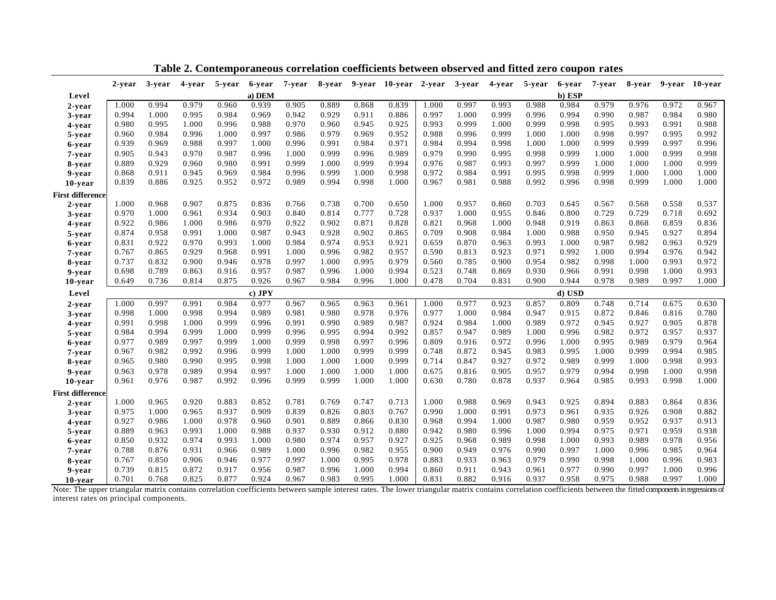|                         | 2-year | 3-year | 4-year | 5-year | 6-year   | 7-year | 8-year |       | 9-year 10-year 2-year |       | 3-year | 4-year | 5-year | 6-year | 7-year | 8-year | 9-year | 10-year |
|-------------------------|--------|--------|--------|--------|----------|--------|--------|-------|-----------------------|-------|--------|--------|--------|--------|--------|--------|--------|---------|
| Level                   |        |        |        |        | a) DEM   |        |        |       |                       |       |        |        |        | b) ESP |        |        |        |         |
| 2-year                  | 1.000  | 0.994  | 0.979  | 0.960  | 0.939    | 0.905  | 0.889  | 0.868 | 0.839                 | 1.000 | 0.997  | 0.993  | 0.988  | 0.984  | 0.979  | 0.976  | 0.972  | 0.967   |
| 3-year                  | 0.994  | 1.000  | 0.995  | 0.984  | 0.969    | 0.942  | 0.929  | 0.911 | 0.886                 | 0.997 | 1.000  | 0.999  | 0.996  | 0.994  | 0.990  | 0.987  | 0.984  | 0.980   |
| 4-year                  | 0.980  | 0.995  | 1.000  | 0.996  | 0.988    | 0.970  | 0.960  | 0.945 | 0.925                 | 0.993 | 0.999  | 1.000  | 0.999  | 0.998  | 0.995  | 0.993  | 0.991  | 0.988   |
| 5-year                  | 0.960  | 0.984  | 0.996  | 1.000  | 0.997    | 0.986  | 0.979  | 0.969 | 0.952                 | 0.988 | 0.996  | 0.999  | 1.000  | 1.000  | 0.998  | 0.997  | 0.995  | 0.992   |
| 6-year                  | 0.939  | 0.969  | 0.988  | 0.997  | 1.000    | 0.996  | 0.991  | 0.984 | 0.971                 | 0.984 | 0.994  | 0.998  | 1.000  | 1.000  | 0.999  | 0.999  | 0.997  | 0.996   |
| 7-year                  | 0.905  | 0.943  | 0.970  | 0.987  | 0.996    | 1.000  | 0.999  | 0.996 | 0.989                 | 0.979 | 0.990  | 0.995  | 0.998  | 0.999  | 1.000  | 1.000  | 0.999  | 0.998   |
| 8-year                  | 0.889  | 0.929  | 0.960  | 0.980  | 0.991    | 0.999  | 1.000  | 0.999 | 0.994                 | 0.976 | 0.987  | 0.993  | 0.997  | 0.999  | 1.000  | 1.000  | 1.000  | 0.999   |
| 9-year                  | 0.868  | 0.911  | 0.945  | 0.969  | 0.984    | 0.996  | 0.999  | 1.000 | 0.998                 | 0.972 | 0.984  | 0.991  | 0.995  | 0.998  | 0.999  | 1.000  | 1.000  | 1.000   |
| 10-year                 | 0.839  | 0.886  | 0.925  | 0.952  | 0.972    | 0.989  | 0.994  | 0.998 | 1.000                 | 0.967 | 0.981  | 0.988  | 0.992  | 0.996  | 0.998  | 0.999  | 1.000  | 1.000   |
| <b>First difference</b> |        |        |        |        |          |        |        |       |                       |       |        |        |        |        |        |        |        |         |
| 2-year                  | 1.000  | 0.968  | 0.907  | 0.875  | 0.836    | 0.766  | 0.738  | 0.700 | 0.650                 | 1.000 | 0.957  | 0.860  | 0.703  | 0.645  | 0.567  | 0.568  | 0.558  | 0.537   |
| 3-year                  | 0.970  | 1.000  | 0.961  | 0.934  | 0.903    | 0.840  | 0.814  | 0.777 | 0.728                 | 0.937 | 1.000  | 0.955  | 0.846  | 0.800  | 0.729  | 0.729  | 0.718  | 0.692   |
| 4-year                  | 0.922  | 0.986  | 1.000  | 0.986  | 0.970    | 0.922  | 0.902  | 0.871 | 0.828                 | 0.821 | 0.968  | 1.000  | 0.948  | 0.919  | 0.863  | 0.868  | 0.859  | 0.836   |
| 5-year                  | 0.874  | 0.958  | 0.991  | 1.000  | 0.987    | 0.943  | 0.928  | 0.902 | 0.865                 | 0.709 | 0.908  | 0.984  | 1.000  | 0.988  | 0.950  | 0.945  | 0.927  | 0.894   |
| 6-year                  | 0.831  | 0.922  | 0.970  | 0.993  | 1.000    | 0.984  | 0.974  | 0.953 | 0.921                 | 0.659 | 0.870  | 0.963  | 0.993  | 1.000  | 0.987  | 0.982  | 0.963  | 0.929   |
| 7-year                  | 0.767  | 0.865  | 0.929  | 0.968  | 0.991    | 1.000  | 0.996  | 0.982 | 0.957                 | 0.590 | 0.813  | 0.923  | 0.971  | 0.992  | 1.000  | 0.994  | 0.976  | 0.942   |
| 8-year                  | 0.737  | 0.832  | 0.900  | 0.946  | 0.978    | 0.997  | 1.000  | 0.995 | 0.979                 | 0.560 | 0.785  | 0.900  | 0.954  | 0.982  | 0.998  | 1.000  | 0.993  | 0.972   |
| 9-year                  | 0.698  | 0.789  | 0.863  | 0.916  | 0.957    | 0.987  | 0.996  | 1.000 | 0.994                 | 0.523 | 0.748  | 0.869  | 0.930  | 0.966  | 0.991  | 0.998  | 1.000  | 0.993   |
| 10-year                 | 0.649  | 0.736  | 0.814  | 0.875  | 0.926    | 0.967  | 0.984  | 0.996 | 1.000                 | 0.478 | 0.704  | 0.831  | 0.900  | 0.944  | 0.978  | 0.989  | 0.997  | 1.000   |
| Level                   |        |        |        |        | $c)$ JPY |        |        |       |                       |       |        |        |        | d) USD |        |        |        |         |
| 2-year                  | 1.000  | 0.997  | 0.991  | 0.984  | 0.977    | 0.967  | 0.965  | 0.963 | 0.961                 | 1.000 | 0.977  | 0.923  | 0.857  | 0.809  | 0.748  | 0.714  | 0.675  | 0.630   |
| 3-year                  | 0.998  | 1.000  | 0.998  | 0.994  | 0.989    | 0.981  | 0.980  | 0.978 | 0.976                 | 0.977 | 1.000  | 0.984  | 0.947  | 0.915  | 0.872  | 0.846  | 0.816  | 0.780   |
| 4-year                  | 0.991  | 0.998  | 1.000  | 0.999  | 0.996    | 0.991  | 0.990  | 0.989 | 0.987                 | 0.924 | 0.984  | 1.000  | 0.989  | 0.972  | 0.945  | 0.927  | 0.905  | 0.878   |
| 5-year                  | 0.984  | 0.994  | 0.999  | 1.000  | 0.999    | 0.996  | 0.995  | 0.994 | 0.992                 | 0.857 | 0.947  | 0.989  | 1.000  | 0.996  | 0.982  | 0.972  | 0.957  | 0.937   |
| 6-year                  | 0.977  | 0.989  | 0.997  | 0.999  | 1.000    | 0.999  | 0.998  | 0.997 | 0.996                 | 0.809 | 0.916  | 0.972  | 0.996  | 1.000  | 0.995  | 0.989  | 0.979  | 0.964   |
| 7-year                  | 0.967  | 0.982  | 0.992  | 0.996  | 0.999    | 1.000  | 1.000  | 0.999 | 0.999                 | 0.748 | 0.872  | 0.945  | 0.983  | 0.995  | 1.000  | 0.999  | 0.994  | 0.985   |
| 8-year                  | 0.965  | 0.980  | 0.990  | 0.995  | 0.998    | 1.000  | 1.000  | 1.000 | 0.999                 | 0.714 | 0.847  | 0.927  | 0.972  | 0.989  | 0.999  | 1.000  | 0.998  | 0.993   |
| 9-year                  | 0.963  | 0.978  | 0.989  | 0.994  | 0.997    | 1.000  | 1.000  | 1.000 | 1.000                 | 0.675 | 0.816  | 0.905  | 0.957  | 0.979  | 0.994  | 0.998  | 1.000  | 0.998   |
| 10-year                 | 0.961  | 0.976  | 0.987  | 0.992  | 0.996    | 0.999  | 0.999  | 1.000 | 1.000                 | 0.630 | 0.780  | 0.878  | 0.937  | 0.964  | 0.985  | 0.993  | 0.998  | 1.000   |
| <b>First difference</b> |        |        |        |        |          |        |        |       |                       |       |        |        |        |        |        |        |        |         |
| 2-year                  | 1.000  | 0.965  | 0.920  | 0.883  | 0.852    | 0.781  | 0.769  | 0.747 | 0.713                 | 1.000 | 0.988  | 0.969  | 0.943  | 0.925  | 0.894  | 0.883  | 0.864  | 0.836   |
| 3-year                  | 0.975  | 1.000  | 0.965  | 0.937  | 0.909    | 0.839  | 0.826  | 0.803 | 0.767                 | 0.990 | 1.000  | 0.991  | 0.973  | 0.961  | 0.935  | 0.926  | 0.908  | 0.882   |
| 4-year                  | 0.927  | 0.986  | 1.000  | 0.978  | 0.960    | 0.901  | 0.889  | 0.866 | 0.830                 | 0.968 | 0.994  | 1.000  | 0.987  | 0.980  | 0.959  | 0.952  | 0.937  | 0.913   |
| 5-year                  | 0.889  | 0.963  | 0.993  | 1.000  | 0.988    | 0.937  | 0.930  | 0.912 | 0.880                 | 0.942 | 0.980  | 0.996  | 1.000  | 0.994  | 0.975  | 0.971  | 0.959  | 0.938   |
| 6-year                  | 0.850  | 0.932  | 0.974  | 0.993  | 1.000    | 0.980  | 0.974  | 0.957 | 0.927                 | 0.925 | 0.968  | 0.989  | 0.998  | 1.000  | 0.993  | 0.989  | 0.978  | 0.956   |
| 7-year                  | 0.788  | 0.876  | 0.931  | 0.966  | 0.989    | 1.000  | 0.996  | 0.982 | 0.955                 | 0.900 | 0.949  | 0.976  | 0.990  | 0.997  | 1.000  | 0.996  | 0.985  | 0.964   |
| 8-year                  | 0.767  | 0.850  | 0.906  | 0.946  | 0.977    | 0.997  | 1.000  | 0.995 | 0.978                 | 0.883 | 0.933  | 0.963  | 0.979  | 0.990  | 0.998  | 1.000  | 0.996  | 0.983   |
| 9-year                  | 0.739  | 0.815  | 0.872  | 0.917  | 0.956    | 0.987  | 0.996  | 1.000 | 0.994                 | 0.860 | 0.911  | 0.943  | 0.961  | 0.977  | 0.990  | 0.997  | 1.000  | 0.996   |
| 10-year                 | 0.701  | 0.768  | 0.825  | 0.877  | 0.924    | 0.967  | 0.983  | 0.995 | 1.000                 | 0.831 | 0.882  | 0.916  | 0.937  | 0.958  | 0.975  | 0.988  | 0.997  | 1.000   |

**Table 2. Contemporaneous correlation coefficients between observed and fitted zero coupon rates**

Note: The upper triangular matrix contains correlation coefficients between sample interest rates. The lower triangular matrix contains correlation coefficients between the fitted components in regressions of interest rates on principal components.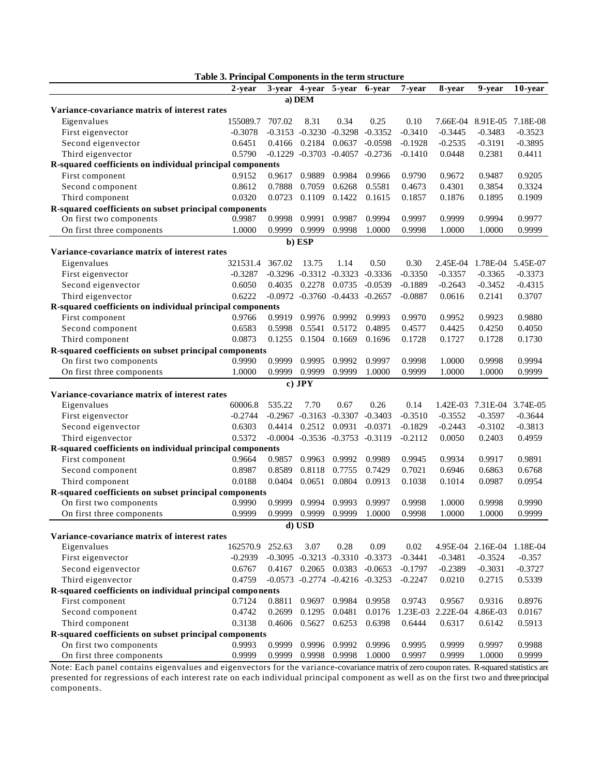|                                                           | Table 3. Principal Components in the term structure |        |                      |                                         |           |           |           |           |            |
|-----------------------------------------------------------|-----------------------------------------------------|--------|----------------------|-----------------------------------------|-----------|-----------|-----------|-----------|------------|
|                                                           | 2-vear                                              |        |                      | 3-year 4-year 5-year                    | 6-year    | 7-year    | 8-year    | 9-vear    | $10$ -year |
|                                                           |                                                     |        | a) DEM               |                                         |           |           |           |           |            |
| Variance-covariance matrix of interest rates              |                                                     |        |                      |                                         |           |           |           |           |            |
| Eigenvalues                                               | 155089.7                                            | 707.02 | 8.31                 | 0.34                                    | 0.25      | 0.10      | 7.66E-04  | 8.91E-05  | 7.18E-08   |
| First eigenvector                                         | $-0.3078$                                           |        |                      | $-0.3153 -0.3230 -0.3298$               | $-0.3352$ | $-0.3410$ | $-0.3445$ | $-0.3483$ | $-0.3523$  |
| Second eigenvector                                        | 0.6451                                              |        | 0.4166 0.2184 0.0637 |                                         | $-0.0598$ | $-0.1928$ | $-0.2535$ | $-0.3191$ | $-0.3895$  |
| Third eigenvector                                         | 0.5790                                              |        |                      | $-0.1229$ $-0.3703$ $-0.4057$ $-0.2736$ |           | $-0.1410$ | 0.0448    | 0.2381    | 0.4411     |
| R-squared coefficients on individual principal components |                                                     |        |                      |                                         |           |           |           |           |            |
| First component                                           | 0.9152                                              | 0.9617 | 0.9889               | 0.9984                                  | 0.9966    | 0.9790    | 0.9672    | 0.9487    | 0.9205     |
| Second component                                          | 0.8612                                              | 0.7888 | 0.7059               | 0.6268                                  | 0.5581    | 0.4673    | 0.4301    | 0.3854    | 0.3324     |
| Third component                                           | 0.0320                                              | 0.0723 | 0.1109               | 0.1422                                  | 0.1615    | 0.1857    | 0.1876    | 0.1895    | 0.1909     |
| R-squared coefficients on subset principal components     |                                                     |        |                      |                                         |           |           |           |           |            |
| On first two components                                   | 0.9987                                              | 0.9998 | 0.9991               | 0.9987                                  | 0.9994    | 0.9997    | 0.9999    | 0.9994    | 0.9977     |
| On first three components                                 | 1.0000                                              | 0.9999 | 0.9999               | 0.9998                                  | 1.0000    | 0.9998    | 1.0000    | 1.0000    | 0.9999     |
|                                                           |                                                     |        | b) ESP               |                                         |           |           |           |           |            |
| Variance-covariance matrix of interest rates              |                                                     |        |                      |                                         |           |           |           |           |            |
| Eigenvalues                                               | 321531.4                                            | 367.02 | 13.75                | 1.14                                    | 0.50      | 0.30      | 2.45E-04  | 1.78E-04  | 5.45E-07   |
| First eigenvector                                         | $-0.3287$                                           |        |                      | $-0.3296$ $-0.3312$ $-0.3323$           | $-0.3336$ | $-0.3350$ | $-0.3357$ | $-0.3365$ | $-0.3373$  |
| Second eigenvector                                        | 0.6050                                              | 0.4035 | 0.2278               | 0.0735                                  | $-0.0539$ | $-0.1889$ | $-0.2643$ | $-0.3452$ | $-0.4315$  |
| Third eigenvector                                         | 0.6222                                              |        |                      | $-0.0972$ $-0.3760$ $-0.4433$           | $-0.2657$ | $-0.0887$ | 0.0616    | 0.2141    | 0.3707     |
| R-squared coefficients on individual principal components |                                                     |        |                      |                                         |           |           |           |           |            |
| First component                                           | 0.9766                                              | 0.9919 | 0.9976               | 0.9992                                  | 0.9993    | 0.9970    | 0.9952    | 0.9923    | 0.9880     |
| Second component                                          | 0.6583                                              | 0.5998 | 0.5541               | 0.5172                                  | 0.4895    | 0.4577    | 0.4425    | 0.4250    | 0.4050     |
| Third component                                           | 0.0873                                              | 0.1255 | 0.1504               | 0.1669                                  | 0.1696    | 0.1728    | 0.1727    | 0.1728    | 0.1730     |
| R-squared coefficients on subset principal components     |                                                     |        |                      |                                         |           |           |           |           |            |
| On first two components                                   | 0.9990                                              | 0.9999 | 0.9995               | 0.9992                                  | 0.9997    | 0.9998    | 1.0000    | 0.9998    | 0.9994     |
| On first three components                                 | 1.0000                                              | 0.9999 | 0.9999               | 0.9999                                  | 1.0000    | 0.9999    | 1.0000    | 1.0000    | 0.9999     |
|                                                           |                                                     |        | $c)$ JPY             |                                         |           |           |           |           |            |
| Variance-covariance matrix of interest rates              |                                                     |        |                      |                                         |           |           |           |           |            |
| Eigenvalues                                               | 60006.8                                             | 535.22 | 7.70                 | 0.67                                    | 0.26      | 0.14      | 1.42E-03  | 7.31E-04  | 3.74E-05   |
| First eigenvector                                         | $-0.2744$                                           |        |                      | $-0.2967$ $-0.3163$ $-0.3307$           | $-0.3403$ | $-0.3510$ | $-0.3552$ | $-0.3597$ | $-0.3644$  |
| Second eigenvector                                        | 0.6303                                              | 0.4414 | 0.2512               | 0.0931                                  | $-0.0371$ | $-0.1829$ | $-0.2443$ | $-0.3102$ | $-0.3813$  |
| Third eigenvector                                         | 0.5372                                              |        |                      | $-0.0004$ $-0.3536$ $-0.3753$           | $-0.3119$ | $-0.2112$ | 0.0050    | 0.2403    | 0.4959     |
| R-squared coefficients on individual principal components |                                                     |        |                      |                                         |           |           |           |           |            |
| First component                                           | 0.9664                                              | 0.9857 | 0.9963               | 0.9992                                  | 0.9989    | 0.9945    | 0.9934    | 0.9917    | 0.9891     |
| Second component                                          | 0.8987                                              | 0.8589 | 0.8118               | 0.7755                                  | 0.7429    | 0.7021    | 0.6946    | 0.6863    | 0.6768     |
| Third component                                           | 0.0188                                              | 0.0404 | 0.0651               | 0.0804                                  | 0.0913    | 0.1038    | 0.1014    | 0.0987    | 0.0954     |
| R-squared coefficients on subset principal components     |                                                     |        |                      |                                         |           |           |           |           |            |
| On first two components                                   | 0.9990                                              | 0.9999 |                      | 0.9994 0.9993                           | 0.9997    | 0.9998    | 1.0000    | 0.9998    | 0.9990     |
| On first three components                                 | 0.9999                                              |        |                      | 0.9999 0.9999 0.9999 1.0000             |           | 0.9998    | 1.0000    | 1.0000    | 0.9999     |
|                                                           |                                                     |        | d) USD               |                                         |           |           |           |           |            |
| Variance-covariance matrix of interest rates              |                                                     |        |                      |                                         |           |           |           |           |            |
| Eigenvalues                                               | 162570.9                                            | 252.63 | 3.07                 | 0.28                                    | 0.09      | 0.02      | 4.95E-04  | 2.16E-04  | 1.18E-04   |
| First eigenvector                                         | $-0.2939$                                           |        |                      | -0.3095 -0.3213 -0.3310 -0.3373         |           | $-0.3441$ | $-0.3481$ | $-0.3524$ | $-0.357$   |
| Second eigenvector                                        | 0.6767                                              |        | 0.4167 0.2065 0.0383 |                                         | $-0.0653$ | $-0.1797$ | $-0.2389$ | $-0.3031$ | $-0.3727$  |
| Third eigenvector                                         | 0.4759                                              |        |                      | $-0.0573$ $-0.2774$ $-0.4216$ $-0.3253$ |           | $-0.2247$ | 0.0210    | 0.2715    | 0.5339     |
| R-squared coefficients on individual principal components |                                                     |        |                      |                                         |           |           |           |           |            |
| First component                                           | 0.7124                                              | 0.8811 |                      | 0.9697 0.9984                           | 0.9958    | 0.9743    | 0.9567    | 0.9316    | 0.8976     |
| Second component                                          | 0.4742                                              | 0.2699 | 0.1295               | 0.0481                                  | 0.0176    | 1.23E-03  | 2.22E-04  | 4.86E-03  | 0.0167     |
| Third component                                           | 0.3138                                              | 0.4606 | 0.5627               | 0.6253                                  | 0.6398    | 0.6444    | 0.6317    | 0.6142    | 0.5913     |
| R-squared coefficients on subset principal components     |                                                     |        |                      |                                         |           |           |           |           |            |
| On first two components                                   | 0.9993                                              | 0.9999 |                      | 0.9996 0.9992                           | 0.9996    | 0.9995    | 0.9999    | 0.9997    | 0.9988     |
| On first three components                                 | 0.9999                                              | 0.9999 | 0.9998               | 0.9998                                  | 1.0000    | 0.9997    | 0.9999    | 1.0000    | 0.9999     |

Note: Each panel contains eigenvalues and eigenvectors for the variance-covariance matrix of zero coupon rates. R-squared statistics are presented for regressions of each interest rate on each individual principal component as well as on the first two and three principal components.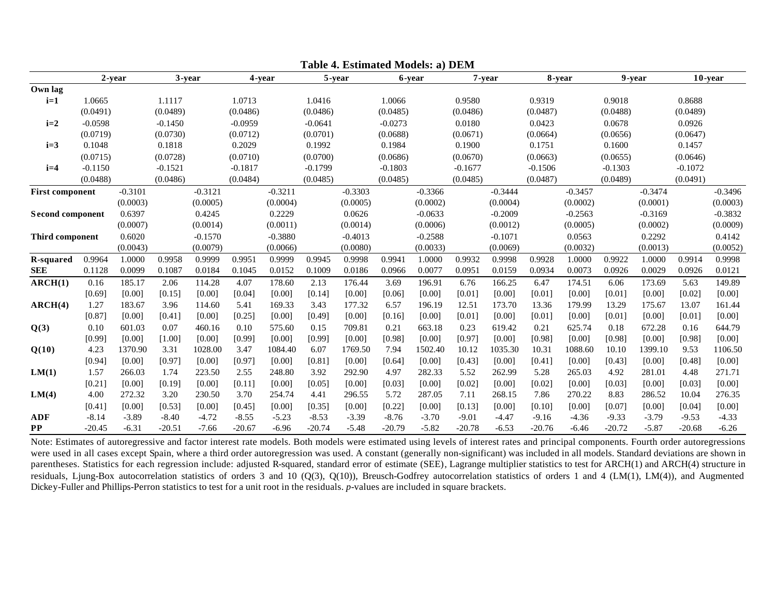|                         | 2-year         |                   |                | 3-year            | 4-year         |                   |                | 5-year            |                | 6-year            |                 | 7-year            | 8-year          |                   | 9-year          |                   | 10-year        |                   |
|-------------------------|----------------|-------------------|----------------|-------------------|----------------|-------------------|----------------|-------------------|----------------|-------------------|-----------------|-------------------|-----------------|-------------------|-----------------|-------------------|----------------|-------------------|
| Own lag                 |                |                   |                |                   |                |                   |                |                   |                |                   |                 |                   |                 |                   |                 |                   |                |                   |
| $i=1$                   | 1.0665         |                   | 1.1117         |                   | 1.0713         |                   | 1.0416         |                   | 1.0066         |                   | 0.9580          |                   | 0.9319          |                   | 0.9018          |                   | 0.8688         |                   |
|                         | (0.0491)       |                   | (0.0489)       |                   | (0.0486)       |                   | (0.0486)       |                   | (0.0485)       |                   | (0.0486)        |                   | (0.0487)        |                   | (0.0488)        |                   | (0.0489)       |                   |
| $i=2$                   | $-0.0598$      |                   | $-0.1450$      |                   | $-0.0959$      |                   | $-0.0641$      |                   | $-0.0273$      |                   | 0.0180          |                   | 0.0423          |                   | 0.0678          |                   | 0.0926         |                   |
|                         | (0.0719)       |                   | (0.0730)       |                   | (0.0712)       |                   | (0.0701)       |                   | (0.0688)       |                   | (0.0671)        |                   | (0.0664)        |                   | (0.0656)        |                   | (0.0647)       |                   |
| $i=3$                   | 0.1048         |                   | 0.1818         |                   | 0.2029         |                   | 0.1992         |                   | 0.1984         |                   | 0.1900          |                   | 0.1751          |                   | 0.1600          |                   | 0.1457         |                   |
|                         | (0.0715)       |                   | (0.0728)       |                   | (0.0710)       |                   | (0.0700)       |                   | (0.0686)       |                   | (0.0670)        |                   | (0.0663)        |                   | (0.0655)        |                   | (0.0646)       |                   |
| $i=4$                   | $-0.1150$      |                   | $-0.1521$      |                   | $-0.1817$      |                   | $-0.1799$      |                   | $-0.1803$      |                   | $-0.1677$       |                   | $-0.1506$       |                   | $-0.1303$       |                   | $-0.1072$      |                   |
|                         | (0.0488)       |                   | (0.0486)       |                   | (0.0484)       |                   | (0.0485)       |                   | (0.0485)       |                   | (0.0485)        |                   | (0.0487)        |                   | (0.0489)        |                   | (0.0491)       |                   |
| <b>First component</b>  |                | $-0.3101$         |                | $-0.3121$         |                | $-0.3211$         |                | $-0.3303$         |                | $-0.3366$         |                 | $-0.3444$         |                 | $-0.3457$         |                 | $-0.3474$         |                | $-0.3496$         |
|                         |                | (0.0003)          |                | (0.0005)          |                | (0.0004)          |                | (0.0005)          |                | (0.0002)          |                 | (0.0004)          |                 | (0.0002)          |                 | (0.0001)          |                | (0.0003)          |
| <b>Second component</b> |                | 0.6397            |                | 0.4245            |                | 0.2229            |                | 0.0626            |                | $-0.0633$         |                 | $-0.2009$         |                 | $-0.2563$         |                 | $-0.3169$         |                | $-0.3832$         |
|                         |                | (0.0007)          |                | (0.0014)          |                | (0.0011)          |                | (0.0014)          |                | (0.0006)          |                 | (0.0012)          |                 | (0.0005)          |                 | (0.0002)          |                | (0.0009)          |
| <b>Third component</b>  |                | 0.6020            |                | $-0.1570$         |                | $-0.3880$         |                | $-0.4013$         |                | $-0.2588$         |                 | $-0.1071$         |                 | 0.0563            |                 | 0.2292            |                | 0.4142            |
|                         |                | (0.0043)          |                | (0.0079)          |                | (0.0066)          |                | (0.0080)          |                | (0.0033)          |                 | (0.0069)          |                 | (0.0032)          |                 | (0.0013)          |                | (0.0052)          |
| <b>R-squared</b>        | 0.9964         | 1.0000            | 0.9958         | 0.9999            | 0.9951         | 0.9999            | 0.9945         | 0.9998            | 0.9941         | 1.0000            | 0.9932          | 0.9998            | 0.9928          | 1.0000            | 0.9922          | 1.0000            | 0.9914         | 0.9998            |
| <b>SEE</b>              | 0.1128         | 0.0099            | 0.1087         | 0.0184            | 0.1045         | 0.0152            | 0.1009         | 0.0186            | 0.0966         | 0.0077            | 0.0951          | 0.0159            | 0.0934          | 0.0073            | 0.0926          | 0.0029            | 0.0926         | 0.0121            |
| ARCH(1)                 | 0.16           | 185.17            | 2.06           | 114.28            | 4.07           | 178.60            | 2.13           | 176.44            | 3.69           | 196.91            | 6.76            | 166.25            | 6.47            | 174.51            | 6.06            | 173.69            | 5.63           | 149.89            |
|                         | [0.69]         | [0.00]            | [0.15]         | [0.00]            | [0.04]         | [0.00]            | [0.14]         | [0.00]            | [0.06]         | [0.00]            | [0.01]          | [0.00]            | [0.01]          | [0.00]            | [0.01]          | [0.00]            | [0.02]         | [0.00]            |
| ARCH(4)                 | 1.27           | 183.67            | 3.96           | 114.60            | 5.41           | 169.33            | 3.43           | 177.32            | 6.57           | 196.19            | 12.51           | 173.70            | 13.36           | 179.99            | 13.29           | 175.67            | 13.07          | 161.44            |
|                         | [0.87]         | [0.00]            | [0.41]         | [0.00]            | [0.25]         | [0.00]            | [0.49]         | [0.00]            | [0.16]         | [0.00]            | [0.01]          | [0.00]            | [0.01]          | [0.00]            | [0.01]          | [0.00]            | [0.01]         | [0.00]            |
| Q(3)                    | 0.10           | 601.03            | 0.07           | 460.16            | 0.10           | 575.60            | 0.15           | 709.81            | 0.21           | 663.18            | 0.23            | 619.42            | 0.21            | 625.74            | 0.18            | 672.28            | 0.16           | 644.79            |
| Q(10)                   | [0.99]<br>4.23 | [0.00]<br>1370.90 | [1.00]<br>3.31 | [0.00]<br>1028.00 | [0.99]<br>3.47 | [0.00]<br>1084.40 | [0.99]<br>6.07 | [0.00]<br>1769.50 | [0.98]<br>7.94 | [0.00]<br>1502.40 | [0.97]<br>10.12 | [0.00]<br>1035.30 | [0.98]<br>10.31 | [0.00]<br>1088.60 | [0.98]<br>10.10 | [0.00]<br>1399.10 | [0.98]<br>9.53 | [0.00]<br>1106.50 |
|                         | [0.94]         | [0.00]            | [0.97]         | [0.00]            | [0.97]         | [0.00]            | [0.81]         | [0.00]            | [0.64]         | [0.00]            | [0.43]          | [0.00]            | [0.41]          | [0.00]            | [0.43]          | [0.00]            | [0.48]         | [0.00]            |
| LM(1)                   | 1.57           | 266.03            | 1.74           | 223.50            | 2.55           | 248.80            | 3.92           | 292.90            | 4.97           | 282.33            | 5.52            | 262.99            | 5.28            | 265.03            | 4.92            | 281.01            | 4.48           | 271.71            |
|                         | [0.21]         | [0.00]            | [0.19]         | [0.00]            | [0.11]         | [0.00]            | [0.05]         | [0.00]            | [0.03]         | [0.00]            | [0.02]          | [0.00]            | [0.02]          | [0.00]            | [0.03]          | [0.00]            | [0.03]         | [0.00]            |
| LM(4)                   | 4.00           | 272.32            | 3.20           | 230.50            | 3.70           | 254.74            | 4.41           | 296.55            | 5.72           | 287.05            | 7.11            | 268.15            | 7.86            | 270.22            | 8.83            | 286.52            | 10.04          | 276.35            |
|                         | [0.41]         | [0.00]            | [0.53]         | [0.00]            | [0.45]         | [0.00]            | [0.35]         | [0.00]            | [0.22]         | [0.00]            | [0.13]          | [0.00]            | [0.10]          | [0.00]            | [0.07]          | [0.00]            | [0.04]         | [0.00]            |
| <b>ADF</b>              | $-8.14$        | $-3.89$           | $-8.40$        | $-4.72$           | $-8.55$        | $-5.23$           | $-8.53$        | $-3.39$           | $-8.76$        | $-3.70$           | $-9.01$         | $-4.47$           | $-9.16$         | $-4.36$           | $-9.33$         | $-3.79$           | $-9.53$        | $-4.33$           |
| <b>PP</b>               | $-20.45$       | $-6.31$           | $-20.51$       | $-7.66$           | $-20.67$       | $-6.96$           | $-20.74$       | $-5.48$           | $-20.79$       | $-5.82$           | $-20.78$        | $-6.53$           | $-20.76$        | $-6.46$           | $-20.72$        | $-5.87$           | $-20.68$       | $-6.26$           |

**Table 4. Estimated Models: a) DEM**

Note: Estimates of autoregressive and factor interest rate models. Both models were estimated using levels of interest rates and principal components. Fourth order autoregressions were used in all cases except Spain, where a third order autoregression was used. A constant (generally non-significant) was included in all models. Standard deviations are shown in parentheses. Statistics for each regression include: adjusted R-squared, standard error of estimate (SEE), Lagrange multiplier statistics to test for ARCH(1) and ARCH(4) structure in residuals, Ljung-Box autocorrelation statistics of orders 3 and 10 (Q(3), Q(10)), Breusch-Godfrey autocorrelation statistics of orders 1 and 4 (LM(1), LM(4)), and Augmented Dickey-Fuller and Phillips-Perron statistics to test for a unit root in the residuals. *p*-values are included in square brackets.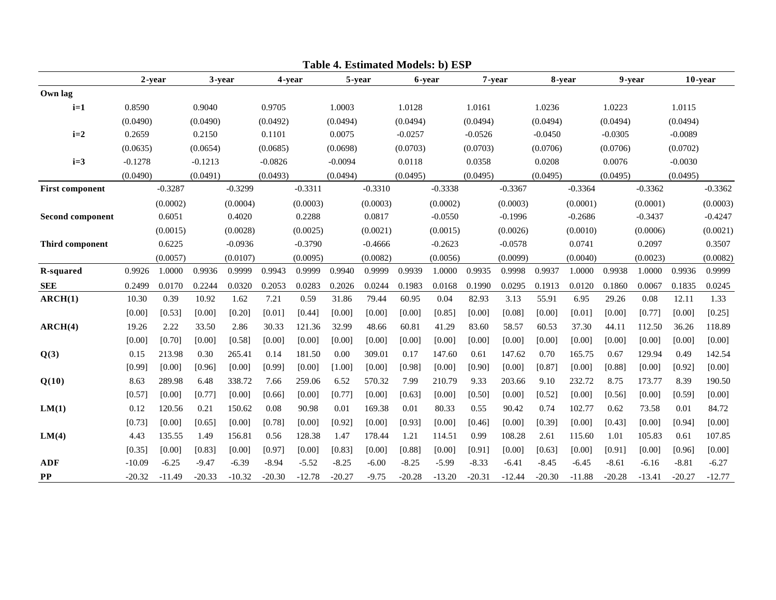|                         |           |           |           |           |           |           |           |           |           | Lable 4. Estimated Models. b) ESI |           |           |           |           |           |           |            |           |
|-------------------------|-----------|-----------|-----------|-----------|-----------|-----------|-----------|-----------|-----------|-----------------------------------|-----------|-----------|-----------|-----------|-----------|-----------|------------|-----------|
|                         |           | 2-year    |           | 3-year    |           | 4-year    |           | 5-year    |           | 6-year                            |           | 7-year    |           | 8-year    |           | 9-year    | $10$ -year |           |
| Own lag                 |           |           |           |           |           |           |           |           |           |                                   |           |           |           |           |           |           |            |           |
| $i=1$                   | 0.8590    |           | 0.9040    |           | 0.9705    |           | 1.0003    |           | 1.0128    |                                   | 1.0161    |           | 1.0236    |           | 1.0223    |           | 1.0115     |           |
|                         | (0.0490)  |           | (0.0490)  |           | (0.0492)  |           | (0.0494)  |           | (0.0494)  |                                   | (0.0494)  |           | (0.0494)  |           | (0.0494)  |           | (0.0494)   |           |
| $i=2$                   | 0.2659    |           | 0.2150    |           | 0.1101    |           | 0.0075    |           | $-0.0257$ |                                   | $-0.0526$ |           | $-0.0450$ |           | $-0.0305$ |           | $-0.0089$  |           |
|                         | (0.0635)  |           | (0.0654)  |           | (0.0685)  |           | (0.0698)  |           | (0.0703)  |                                   | (0.0703)  |           | (0.0706)  |           | (0.0706)  |           | (0.0702)   |           |
| $i=3$                   | $-0.1278$ |           | $-0.1213$ |           | $-0.0826$ |           | $-0.0094$ |           | 0.0118    |                                   | 0.0358    |           | 0.0208    |           | 0.0076    |           | $-0.0030$  |           |
|                         | (0.0490)  |           | (0.0491)  |           | (0.0493)  |           | (0.0494)  |           | (0.0495)  |                                   | (0.0495)  |           | (0.0495)  |           | (0.0495)  |           | (0.0495)   |           |
| <b>First component</b>  |           | $-0.3287$ |           | $-0.3299$ |           | $-0.3311$ |           | $-0.3310$ |           | $-0.3338$                         |           | $-0.3367$ |           | $-0.3364$ |           | $-0.3362$ |            | $-0.3362$ |
|                         |           | (0.0002)  |           | (0.0004)  |           | (0.0003)  |           | (0.0003)  |           | (0.0002)                          |           | (0.0003)  |           | (0.0001)  |           | (0.0001)  |            | (0.0003)  |
| <b>Second component</b> |           | 0.6051    |           | 0.4020    |           | 0.2288    |           | 0.0817    |           | $-0.0550$                         |           | $-0.1996$ |           | $-0.2686$ |           | $-0.3437$ |            | $-0.4247$ |
|                         |           | (0.0015)  |           | (0.0028)  |           | (0.0025)  |           | (0.0021)  |           | (0.0015)                          |           | (0.0026)  |           | (0.0010)  |           | (0.0006)  |            | (0.0021)  |
| Third component         |           | 0.6225    |           | $-0.0936$ |           | $-0.3790$ |           | $-0.4666$ |           | $-0.2623$                         |           | $-0.0578$ |           | 0.0741    |           | 0.2097    |            | 0.3507    |
|                         |           | (0.0057)  |           | (0.0107)  |           | (0.0095)  |           | (0.0082)  |           | (0.0056)                          |           | (0.0099)  |           | (0.0040)  |           | (0.0023)  |            | (0.0082)  |
| R-squared               | 0.9926    | 1.0000    | 0.9936    | 0.9999    | 0.9943    | 0.9999    | 0.9940    | 0.9999    | 0.9939    | 1.0000                            | 0.9935    | 0.9998    | 0.9937    | 1.0000    | 0.9938    | 1.0000    | 0.9936     | 0.9999    |
| <b>SEE</b>              | 0.2499    | 0.0170    | 0.2244    | 0.0320    | 0.2053    | 0.0283    | 0.2026    | 0.0244    | 0.1983    | 0.0168                            | 0.1990    | 0.0295    | 0.1913    | 0.0120    | 0.1860    | 0.0067    | 0.1835     | 0.0245    |
| ARCH(1)                 | 10.30     | 0.39      | 10.92     | 1.62      | 7.21      | 0.59      | 31.86     | 79.44     | 60.95     | 0.04                              | 82.93     | 3.13      | 55.91     | 6.95      | 29.26     | 0.08      | 12.11      | 1.33      |
|                         | [0.00]    | [0.53]    | [0.00]    | [0.20]    | [0.01]    | [0.44]    | [0.00]    | [0.00]    | [0.00]    | [0.85]                            | [0.00]    | [0.08]    | [0.00]    | [0.01]    | [0.00]    | [0.77]    | [0.00]     | [0.25]    |
| ARCH(4)                 | 19.26     | 2.22      | 33.50     | 2.86      | 30.33     | 121.36    | 32.99     | 48.66     | 60.81     | 41.29                             | 83.60     | 58.57     | 60.53     | 37.30     | 44.11     | 112.50    | 36.26      | 118.89    |
|                         | [0.00]    | [0.70]    | [0.00]    | [0.58]    | [0.00]    | [0.00]    | [0.00]    | [0.00]    | [0.00]    | [0.00]                            | [0.00]    | [0.00]    | [0.00]    | [0.00]    | [0.00]    | [0.00]    | [0.00]     | [0.00]    |
| Q(3)                    | 0.15      | 213.98    | 0.30      | 265.41    | 0.14      | 181.50    | 0.00      | 309.01    | 0.17      | 147.60                            | 0.61      | 147.62    | 0.70      | 165.75    | 0.67      | 129.94    | 0.49       | 142.54    |
|                         | [0.99]    | [0.00]    | [0.96]    | [0.00]    | [0.99]    | [0.00]    | [1.00]    | [0.00]    | [0.98]    | [0.00]                            | [0.90]    | [0.00]    | [0.87]    | [0.00]    | [0.88]    | [0.00]    | [0.92]     | [0.00]    |
| Q(10)                   | 8.63      | 289.98    | 6.48      | 338.72    | 7.66      | 259.06    | 6.52      | 570.32    | 7.99      | 210.79                            | 9.33      | 203.66    | 9.10      | 232.72    | 8.75      | 173.77    | 8.39       | 190.50    |
|                         | [0.57]    | [0.00]    | [0.77]    | [0.00]    | [0.66]    | [0.00]    | [0.77]    | [0.00]    | [0.63]    | [0.00]                            | [0.50]    | [0.00]    | [0.52]    | [0.00]    | [0.56]    | [0.00]    | [0.59]     | [0.00]    |
| LM(1)                   | 0.12      | 120.56    | 0.21      | 150.62    | 0.08      | 90.98     | 0.01      | 169.38    | 0.01      | 80.33                             | 0.55      | 90.42     | 0.74      | 102.77    | 0.62      | 73.58     | 0.01       | 84.72     |
|                         | [0.73]    | [0.00]    | [0.65]    | [0.00]    | [0.78]    | [0.00]    | [0.92]    | [0.00]    | [0.93]    | [0.00]                            | [0.46]    | [0.00]    | [0.39]    | [0.00]    | [0.43]    | [0.00]    | [0.94]     | [0.00]    |
| LM(4)                   | 4.43      | 135.55    | 1.49      | 156.81    | 0.56      | 128.38    | 1.47      | 178.44    | 1.21      | 114.51                            | 0.99      | 108.28    | 2.61      | 115.60    | 1.01      | 105.83    | 0.61       | 107.85    |
|                         | [0.35]    | [0.00]    | [0.83]    | [0.00]    | [0.97]    | [0.00]    | [0.83]    | [0.00]    | [0.88]    | [0.00]                            | [0.91]    | [0.00]    | [0.63]    | [0.00]    | [0.91]    | [0.00]    | [0.96]     | [0.00]    |
| <b>ADF</b>              | $-10.09$  | $-6.25$   | $-9.47$   | $-6.39$   | $-8.94$   | $-5.52$   | $-8.25$   | $-6.00$   | $-8.25$   | $-5.99$                           | $-8.33$   | $-6.41$   | $-8.45$   | $-6.45$   | $-8.61$   | $-6.16$   | $-8.81$    | $-6.27$   |
| $\bf PP$                | $-20.32$  | $-11.49$  | $-20.33$  | $-10.32$  | $-20.30$  | $-12.78$  | $-20.27$  | $-9.75$   | $-20.28$  | $-13.20$                          | $-20.31$  | $-12.44$  | $-20.30$  | $-11.88$  | $-20.28$  | $-13.41$  | $-20.27$   | $-12.77$  |

**Table 4. Estimated Models: b) ESP**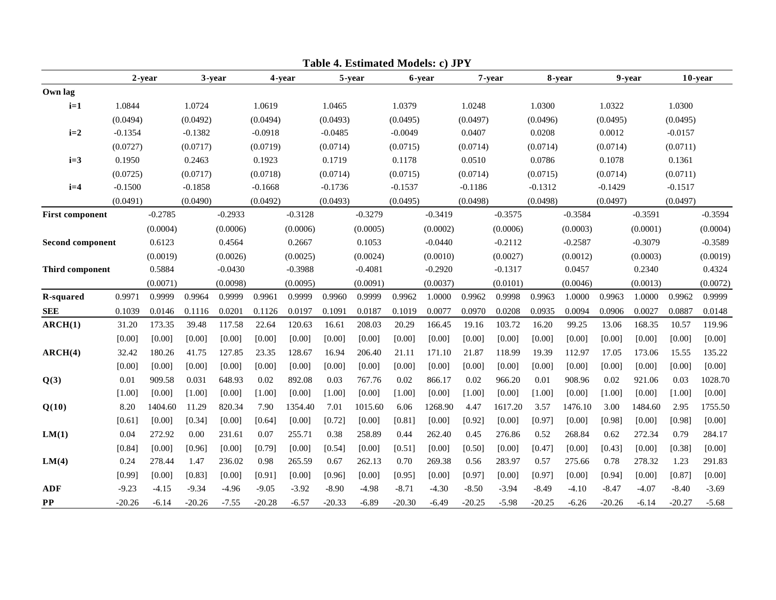|                        |           |           |           |           |           |           |           | <b>1.</b> Estimated Models, e/ 91 <b>h</b> |           |           |           |           |           |           |           |           |            |           |
|------------------------|-----------|-----------|-----------|-----------|-----------|-----------|-----------|--------------------------------------------|-----------|-----------|-----------|-----------|-----------|-----------|-----------|-----------|------------|-----------|
|                        |           | 2-year    |           | 3-year    |           | 4-year    |           | 5-year                                     |           | 6-year    |           | 7-year    |           | 8-year    |           | 9-year    | $10$ -year |           |
| Own lag                |           |           |           |           |           |           |           |                                            |           |           |           |           |           |           |           |           |            |           |
| $i=1$                  | 1.0844    |           | 1.0724    |           | 1.0619    |           | 1.0465    |                                            | 1.0379    |           | 1.0248    |           | 1.0300    |           | 1.0322    |           | 1.0300     |           |
|                        | (0.0494)  |           | (0.0492)  |           | (0.0494)  |           | (0.0493)  |                                            | (0.0495)  |           | (0.0497)  |           | (0.0496)  |           | (0.0495)  |           | (0.0495)   |           |
| $i=2$                  | $-0.1354$ |           | $-0.1382$ |           | $-0.0918$ |           | $-0.0485$ |                                            | $-0.0049$ |           | 0.0407    |           | 0.0208    |           | 0.0012    |           | $-0.0157$  |           |
|                        | (0.0727)  |           | (0.0717)  |           | (0.0719)  |           | (0.0714)  |                                            | (0.0715)  |           | (0.0714)  |           | (0.0714)  |           | (0.0714)  |           | (0.0711)   |           |
| $i=3$                  | 0.1950    |           | 0.2463    |           | 0.1923    |           | 0.1719    |                                            | 0.1178    |           | 0.0510    |           | 0.0786    |           | 0.1078    |           | 0.1361     |           |
|                        | (0.0725)  |           | (0.0717)  |           | (0.0718)  |           | (0.0714)  |                                            | (0.0715)  |           | (0.0714)  |           | (0.0715)  |           | (0.0714)  |           | (0.0711)   |           |
| $i=4$                  | $-0.1500$ |           | $-0.1858$ |           | $-0.1668$ |           | $-0.1736$ |                                            | $-0.1537$ |           | $-0.1186$ |           | $-0.1312$ |           | $-0.1429$ |           | $-0.1517$  |           |
|                        | (0.0491)  |           | (0.0490)  |           | (0.0492)  |           | (0.0493)  |                                            | (0.0495)  |           | (0.0498)  |           | (0.0498)  |           | (0.0497)  |           | (0.0497)   |           |
| <b>First component</b> |           | $-0.2785$ |           | $-0.2933$ |           | $-0.3128$ |           | $-0.3279$                                  |           | $-0.3419$ |           | $-0.3575$ |           | $-0.3584$ |           | $-0.3591$ |            | $-0.3594$ |
|                        |           | (0.0004)  |           | (0.0006)  |           | (0.0006)  |           | (0.0005)                                   |           | (0.0002)  |           | (0.0006)  |           | (0.0003)  |           | (0.0001)  |            | (0.0004)  |
| Second component       |           | 0.6123    |           | 0.4564    |           | 0.2667    |           | 0.1053                                     |           | $-0.0440$ |           | $-0.2112$ |           | $-0.2587$ |           | $-0.3079$ |            | $-0.3589$ |
|                        |           | (0.0019)  |           | (0.0026)  |           | (0.0025)  |           | (0.0024)                                   |           | (0.0010)  |           | (0.0027)  |           | (0.0012)  |           | (0.0003)  |            | (0.0019)  |
| Third component        |           | 0.5884    |           | $-0.0430$ |           | $-0.3988$ |           | $-0.4081$                                  |           | $-0.2920$ |           | $-0.1317$ |           | 0.0457    |           | 0.2340    |            | 0.4324    |
|                        |           | (0.0071)  |           | (0.0098)  |           | (0.0095)  |           | (0.0091)                                   |           | (0.0037)  |           | (0.0101)  |           | (0.0046)  |           | (0.0013)  |            | (0.0072)  |
| R-squared              | 0.9971    | 0.9999    | 0.9964    | 0.9999    | 0.9961    | 0.9999    | 0.9960    | 0.9999                                     | 0.9962    | 1.0000    | 0.9962    | 0.9998    | 0.9963    | 1.0000    | 0.9963    | 1.0000    | 0.9962     | 0.9999    |
| <b>SEE</b>             | 0.1039    | 0.0146    | 0.1116    | 0.0201    | 0.1126    | 0.0197    | 0.1091    | 0.0187                                     | 0.1019    | 0.0077    | 0.0970    | 0.0208    | 0.0935    | 0.0094    | 0.0906    | 0.0027    | 0.0887     | 0.0148    |
| ARCH(1)                | 31.20     | 173.35    | 39.48     | 117.58    | 22.64     | 120.63    | 16.61     | 208.03                                     | 20.29     | 166.45    | 19.16     | 103.72    | 16.20     | 99.25     | 13.06     | 168.35    | 10.57      | 119.96    |
|                        | [0.00]    | [0.00]    | [0.00]    | [0.00]    | [0.00]    | [0.00]    | [0.00]    | [0.00]                                     | [0.00]    | [0.00]    | [0.00]    | [0.00]    | [0.00]    | [0.00]    | [0.00]    | [0.00]    | [0.00]     | [0.00]    |
| ARCH(4)                | 32.42     | 180.26    | 41.75     | 127.85    | 23.35     | 128.67    | 16.94     | 206.40                                     | 21.11     | 171.10    | 21.87     | 118.99    | 19.39     | 112.97    | 17.05     | 173.06    | 15.55      | 135.22    |
|                        | [0.00]    | [0.00]    | [0.00]    | [0.00]    | [0.00]    | [0.00]    | [0.00]    | [0.00]                                     | [0.00]    | [0.00]    | [0.00]    | [0.00]    | [0.00]    | [0.00]    | [0.00]    | [0.00]    | [0.00]     | [0.00]    |
| Q(3)                   | 0.01      | 909.58    | 0.031     | 648.93    | 0.02      | 892.08    | 0.03      | 767.76                                     | 0.02      | 866.17    | 0.02      | 966.20    | 0.01      | 908.96    | 0.02      | 921.06    | 0.03       | 1028.70   |
|                        | [1.00]    | [0.00]    | [1.00]    | [0.00]    | [1.00]    | [0.00]    | [1.00]    | [0.00]                                     | [1.00]    | [0.00]    | [1.00]    | [0.00]    | [1.00]    | [0.00]    | [1.00]    | [0.00]    | [1.00]     | [0.00]    |
| Q(10)                  | 8.20      | 1404.60   | 11.29     | 820.34    | 7.90      | 1354.40   | 7.01      | 1015.60                                    | 6.06      | 1268.90   | 4.47      | 1617.20   | 3.57      | 1476.10   | 3.00      | 1484.60   | 2.95       | 1755.50   |
|                        | [0.61]    | [0.00]    | [0.34]    | [0.00]    | [0.64]    | [0.00]    | [0.72]    | [0.00]                                     | [0.81]    | [0.00]    | [0.92]    | [0.00]    | [0.97]    | [0.00]    | [0.98]    | [0.00]    | [0.98]     | [0.00]    |
| LM(1)                  | 0.04      | 272.92    | 0.00      | 231.61    | 0.07      | 255.71    | 0.38      | 258.89                                     | 0.44      | 262.40    | 0.45      | 276.86    | 0.52      | 268.84    | 0.62      | 272.34    | 0.79       | 284.17    |
|                        | [0.84]    | [0.00]    | [0.96]    | [0.00]    | [0.79]    | [0.00]    | [0.54]    | [0.00]                                     | [0.51]    | [0.00]    | [0.50]    | [0.00]    | [0.47]    | [0.00]    | [0.43]    | [0.00]    | [0.38]     | [0.00]    |
| LM(4)                  | 0.24      | 278.44    | 1.47      | 236.02    | 0.98      | 265.59    | 0.67      | 262.13                                     | 0.70      | 269.38    | 0.56      | 283.97    | 0.57      | 275.66    | 0.78      | 278.32    | 1.23       | 291.83    |
|                        | [0.99]    | [0.00]    | [0.83]    | [0.00]    | [0.91]    | [0.00]    | [0.96]    | [0.00]                                     | [0.95]    | [0.00]    | [0.97]    | [0.00]    | [0.97]    | [0.00]    | [0.94]    | [0.00]    | [0.87]     | [0.00]    |
| <b>ADF</b>             | $-9.23$   | $-4.15$   | $-9.34$   | $-4.96$   | $-9.05$   | $-3.92$   | $-8.90$   | $-4.98$                                    | $-8.71$   | $-4.30$   | $-8.50$   | $-3.94$   | $-8.49$   | $-4.10$   | $-8.47$   | $-4.07$   | $-8.40$    | $-3.69$   |
| $\bf PP$               | $-20.26$  | $-6.14$   | $-20.26$  | $-7.55$   | $-20.28$  | $-6.57$   | $-20.33$  | $-6.89$                                    | $-20.30$  | $-6.49$   | $-20.25$  | $-5.98$   | $-20.25$  | $-6.26$   | $-20.26$  | $-6.14$   | $-20.27$   | $-5.68$   |

**Table 4. Estimated Models: c) JPY**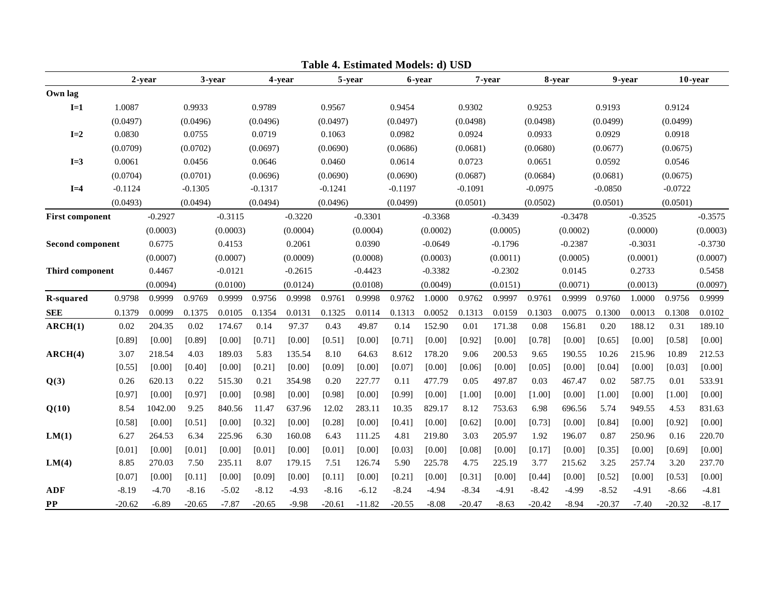|                         |           |           |           |           |           |           |           | <b>T.</b> Estimated Models. <b>a</b> / CSD |           |           |           |           |           |           |           |           |           |           |
|-------------------------|-----------|-----------|-----------|-----------|-----------|-----------|-----------|--------------------------------------------|-----------|-----------|-----------|-----------|-----------|-----------|-----------|-----------|-----------|-----------|
|                         |           | 2-year    |           | 3-year    |           | 4-year    |           | 5-year                                     |           | 6-year    |           | 7-year    |           | 8-year    |           | 9-year    | 10-year   |           |
| Own lag                 |           |           |           |           |           |           |           |                                            |           |           |           |           |           |           |           |           |           |           |
| $I=1$                   | 1.0087    |           | 0.9933    |           | 0.9789    |           | 0.9567    |                                            | 0.9454    |           | 0.9302    |           | 0.9253    |           | 0.9193    |           | 0.9124    |           |
|                         | (0.0497)  |           | (0.0496)  |           | (0.0496)  |           | (0.0497)  |                                            | (0.0497)  |           | (0.0498)  |           | (0.0498)  |           | (0.0499)  |           | (0.0499)  |           |
| $I=2$                   | 0.0830    |           | 0.0755    |           | 0.0719    |           | 0.1063    |                                            | 0.0982    |           | 0.0924    |           | 0.0933    |           | 0.0929    |           | 0.0918    |           |
|                         | (0.0709)  |           | (0.0702)  |           | (0.0697)  |           | (0.0690)  |                                            | (0.0686)  |           | (0.0681)  |           | (0.0680)  |           | (0.0677)  |           | (0.0675)  |           |
| $I=3$                   | 0.0061    |           | 0.0456    |           | 0.0646    |           | 0.0460    |                                            | 0.0614    |           | 0.0723    |           | 0.0651    |           | 0.0592    |           | 0.0546    |           |
|                         | (0.0704)  |           | (0.0701)  |           | (0.0696)  |           | (0.0690)  |                                            | (0.0690)  |           | (0.0687)  |           | (0.0684)  |           | (0.0681)  |           | (0.0675)  |           |
| $I=4$                   | $-0.1124$ |           | $-0.1305$ |           | $-0.1317$ |           | $-0.1241$ |                                            | $-0.1197$ |           | $-0.1091$ |           | $-0.0975$ |           | $-0.0850$ |           | $-0.0722$ |           |
|                         | (0.0493)  |           | (0.0494)  |           | (0.0494)  |           | (0.0496)  |                                            | (0.0499)  |           | (0.0501)  |           | (0.0502)  |           | (0.0501)  |           | (0.0501)  |           |
| <b>First component</b>  |           | $-0.2927$ |           | $-0.3115$ |           | $-0.3220$ |           | $-0.3301$                                  |           | $-0.3368$ |           | $-0.3439$ |           | $-0.3478$ |           | $-0.3525$ |           | $-0.3575$ |
|                         |           | (0.0003)  |           | (0.0003)  |           | (0.0004)  |           | (0.0004)                                   |           | (0.0002)  |           | (0.0005)  |           | (0.0002)  |           | (0.0000)  |           | (0.0003)  |
| <b>Second component</b> |           | 0.6775    |           | 0.4153    |           | 0.2061    |           | 0.0390                                     |           | $-0.0649$ |           | $-0.1796$ |           | $-0.2387$ |           | $-0.3031$ |           | $-0.3730$ |
|                         |           | (0.0007)  |           | (0.0007)  |           | (0.0009)  |           | (0.0008)                                   |           | (0.0003)  |           | (0.0011)  |           | (0.0005)  |           | (0.0001)  |           | (0.0007)  |
| <b>Third component</b>  |           | 0.4467    |           | $-0.0121$ |           | $-0.2615$ |           | $-0.4423$                                  |           | $-0.3382$ |           | $-0.2302$ |           | 0.0145    |           | 0.2733    |           | 0.5458    |
|                         |           | (0.0094)  |           | (0.0100)  |           | (0.0124)  |           | (0.0108)                                   |           | (0.0049)  |           | (0.0151)  |           | (0.0071)  |           | (0.0013)  |           | (0.0097)  |
| R-squared               | 0.9798    | 0.9999    | 0.9769    | 0.9999    | 0.9756    | 0.9998    | 0.9761    | 0.9998                                     | 0.9762    | 1.0000    | 0.9762    | 0.9997    | 0.9761    | 0.9999    | 0.9760    | 1.0000    | 0.9756    | 0.9999    |
| <b>SEE</b>              | 0.1379    | 0.0099    | 0.1375    | 0.0105    | 0.1354    | 0.0131    | 0.1325    | 0.0114                                     | 0.1313    | 0.0052    | 0.1313    | 0.0159    | 0.1303    | 0.0075    | 0.1300    | 0.0013    | 0.1308    | 0.0102    |
| ARCH(1)                 | 0.02      | 204.35    | 0.02      | 174.67    | 0.14      | 97.37     | 0.43      | 49.87                                      | 0.14      | 152.90    | 0.01      | 171.38    | 0.08      | 156.81    | 0.20      | 188.12    | 0.31      | 189.10    |
|                         | [0.89]    | [0.00]    | [0.89]    | [0.00]    | [0.71]    | [0.00]    | [0.51]    | [0.00]                                     | [0.71]    | [0.00]    | [0.92]    | [0.00]    | [0.78]    | [0.00]    | [0.65]    | [0.00]    | [0.58]    | [0.00]    |
| ARCH(4)                 | 3.07      | 218.54    | 4.03      | 189.03    | 5.83      | 135.54    | 8.10      | 64.63                                      | 8.612     | 178.20    | 9.06      | 200.53    | 9.65      | 190.55    | 10.26     | 215.96    | 10.89     | 212.53    |
|                         | [0.55]    | [0.00]    | [0.40]    | [0.00]    | [0.21]    | [0.00]    | [0.09]    | [0.00]                                     | [0.07]    | [0.00]    | [0.06]    | [0.00]    | [0.05]    | [0.00]    | [0.04]    | [0.00]    | [0.03]    | [0.00]    |
| Q(3)                    | 0.26      | 620.13    | 0.22      | 515.30    | 0.21      | 354.98    | 0.20      | 227.77                                     | 0.11      | 477.79    | 0.05      | 497.87    | 0.03      | 467.47    | 0.02      | 587.75    | 0.01      | 533.91    |
|                         | [0.97]    | [0.00]    | [0.97]    | [0.00]    | [0.98]    | [0.00]    | [0.98]    | [0.00]                                     | [0.99]    | [0.00]    | [1.00]    | [0.00]    | [1.00]    | [0.00]    | [1.00]    | [0.00]    | [1.00]    | [0.00]    |
| Q(10)                   | 8.54      | 1042.00   | 9.25      | 840.56    | 11.47     | 637.96    | 12.02     | 283.11                                     | 10.35     | 829.17    | 8.12      | 753.63    | 6.98      | 696.56    | 5.74      | 949.55    | 4.53      | 831.63    |
|                         | [0.58]    | [0.00]    | [0.51]    | [0.00]    | [0.32]    | [0.00]    | [0.28]    | [0.00]                                     | [0.41]    | [0.00]    | [0.62]    | [0.00]    | [0.73]    | [0.00]    | [0.84]    | [0.00]    | [0.92]    | [0.00]    |
| LM(1)                   | 6.27      | 264.53    | 6.34      | 225.96    | 6.30      | 160.08    | 6.43      | 111.25                                     | 4.81      | 219.80    | 3.03      | 205.97    | 1.92      | 196.07    | 0.87      | 250.96    | 0.16      | 220.70    |
|                         | [0.01]    | [0.00]    | [0.01]    | [0.00]    | [0.01]    | [0.00]    | [0.01]    | [0.00]                                     | [0.03]    | [0.00]    | [0.08]    | [0.00]    | [0.17]    | [0.00]    | [0.35]    | [0.00]    | [0.69]    | [0.00]    |
| LM(4)                   | 8.85      | 270.03    | 7.50      | 235.11    | 8.07      | 179.15    | 7.51      | 126.74                                     | 5.90      | 225.78    | 4.75      | 225.19    | 3.77      | 215.62    | 3.25      | 257.74    | 3.20      | 237.70    |
|                         | [0.07]    | [0.00]    | [0.11]    | [0.00]    | [0.09]    | [0.00]    | [0.11]    | [0.00]                                     | [0.21]    | [0.00]    | [0.31]    | [0.00]    | [0.44]    | [0.00]    | [0.52]    | [0.00]    | [0.53]    | [0.00]    |
| <b>ADF</b>              | $-8.19$   | $-4.70$   | $-8.16$   | $-5.02$   | $-8.12$   | $-4.93$   | $-8.16$   | $-6.12$                                    | $-8.24$   | $-4.94$   | $-8.34$   | $-4.91$   | $-8.42$   | $-4.99$   | $-8.52$   | $-4.91$   | $-8.66$   | $-4.81$   |
| <b>PP</b>               | $-20.62$  | $-6.89$   | $-20.65$  | $-7.87$   | $-20.65$  | $-9.98$   | $-20.61$  | $-11.82$                                   | $-20.55$  | $-8.08$   | $-20.47$  | $-8.63$   | $-20.42$  | $-8.94$   | $-20.37$  | $-7.40$   | $-20.32$  | $-8.17$   |

**Table 4. Estimated Models: d) USD**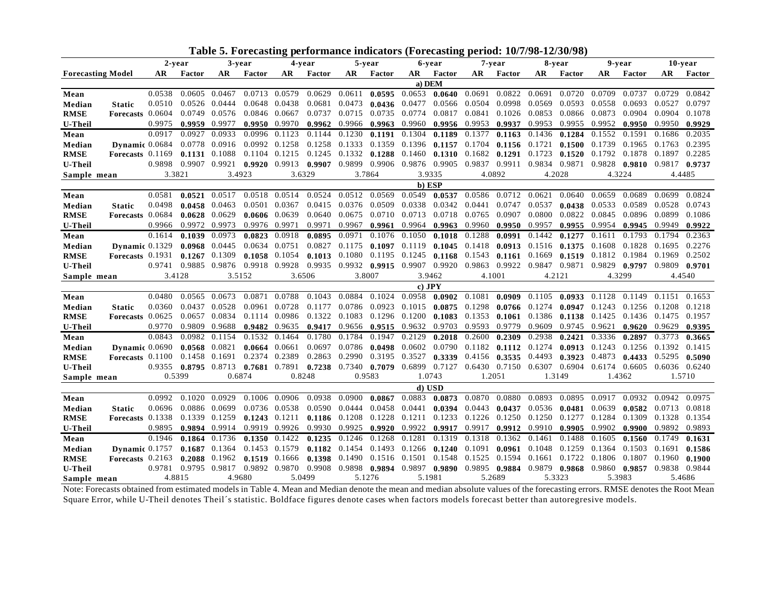|                          |                    |        |                        | ravic J.          |        |                            |        |                 |               |          | orceasing performance multators (Forceasing perfout T0/7/20-1 |                                                                |                 |                   | JVI/VI |        |                      |               |               |
|--------------------------|--------------------|--------|------------------------|-------------------|--------|----------------------------|--------|-----------------|---------------|----------|---------------------------------------------------------------|----------------------------------------------------------------|-----------------|-------------------|--------|--------|----------------------|---------------|---------------|
|                          |                    |        | 2-year                 |                   | 3-year |                            | 4-year |                 | 5-year        |          | 6-year                                                        |                                                                | 7-year          |                   | 8-year |        | 9-year               |               | 10-year       |
| <b>Forecasting Model</b> |                    | AR     | Factor                 | AR                | Factor | AR                         | Factor | AR              | Factor        | AR       | Factor                                                        | AR                                                             | Factor          | AR                | Factor | AR     | Factor               | AR.           | Factor        |
|                          |                    |        |                        |                   |        |                            |        |                 |               | a) DEM   |                                                               |                                                                |                 |                   |        |        |                      |               |               |
| Mean                     |                    | 0.0538 | 0.0605                 | 0.0467            | 0.0713 | 0.0579                     | 0.0629 | 0.0611          | 0.0595        | 0.0653   | 0.0640                                                        | 0.0691                                                         | 0.0822          | 0.0691            | 0.0720 | 0.0709 | 0.0737               | 0.0729        | 0.0842        |
| Median                   | <b>Static</b>      | 0.0510 | 0.0526                 | 0.0444            | 0.0648 | 0.0438                     | 0.0681 | 0.0473          | 0.0436        | 0.0477   | 0.0566                                                        | 0.0504                                                         | 0.0998          | 0.0569            | 0.0593 | 0.0558 | 0.0693               | 0.0527        | 0.0797        |
| <b>RMSE</b>              | Forecasts 0.0604   |        | 0.0749                 | 0.0576            | 0.0846 | 0.0667                     | 0.0737 | 0.0715          | 0.0735        | 0.0774   | 0.0817                                                        | 0.0841                                                         | 0.1026          | 0.0853            | 0.0866 | 0.0873 | 0.0904               | 0.0904        | 0.1078        |
| <b>U-Theil</b>           |                    | 0.9975 | 0.9959 0.9977          |                   | 0.9950 | 0.9970                     | 0.9962 | 0.9966          | 0.9963        | 0.9960   | 0.9956                                                        | 0.9953                                                         | 0.9937          | 0.9953            | 0.9955 | 0.9952 | 0.9950               | 0.9950        | 0.9929        |
| Mean                     |                    | 0.0917 | 0.0927                 | 0.0933            | 0.0996 | 0.1123                     | 0.1144 | 0.1230          | 0.1191        | 0.1304   | 0.1189                                                        | 0.1377                                                         | 0.1163          | 0.1436            | 0.1284 | 0.1552 | 0.1591               | 0.1686        | 0.2035        |
| Median                   | Dynamic 0.0684     |        | 0.0778                 | 0.0916            | 0.0992 | 0.1258                     | 0.1258 | 0.1333          | 0.1359        | 0.1396   | 0.1157                                                        | 0.1704                                                         | 0.1156          | 0.1721            | 0.1500 | 0.1739 | 0.1965               | 0.1763        | 0.2395        |
| <b>RMSE</b>              | Forecasts $0.1169$ |        |                        | $0.1131$ $0.1088$ | 0.1104 | 0.1215                     | 0.1245 | 0.1332          | 0.1288        | 0.1460   | 0.1310                                                        | 0.1682                                                         | 0.1291          | 0.1723            | 0.1520 | 0.1792 | 0.1878               |               | 0.1897 0.2285 |
| <b>U-Theil</b>           |                    | 0.9898 | 0.9907 0.9921          |                   |        | $0.9920$ $0.9913$ $0.9907$ |        |                 |               |          |                                                               | 0.9899 0.9906 0.9876 0.9905 0.9837 0.9911 0.9834 0.9871        |                 |                   |        | 0.9828 | 0.9810               | 0.9817 0.9737 |               |
| Sample mean              |                    | 3.3821 |                        |                   | 3.4923 | 3.6329                     |        | 3.7864          |               |          | 3.9335                                                        | 4.0892                                                         |                 |                   | 4.2028 |        | 4.3224               |               | 4.4485        |
|                          |                    |        |                        |                   |        |                            |        |                 |               |          | b) ESP                                                        |                                                                |                 |                   |        |        |                      |               |               |
| Mean                     |                    | 0.0581 | 0.0521                 | 0.0517            | 0.0518 | 0.0514                     | 0.0524 | 0.0512          | 0.0569        | 0.0549   |                                                               | $0.0537$ 0.0586                                                | 0.0712          | 0.0621            | 0.0640 | 0.0659 | 0.0689               | 0.0699        | 0.0824        |
| Median                   | <b>Static</b>      | 0.0498 | 0.0458                 | 0.0463            | 0.0501 | 0.0367                     | 0.0415 | 0.0376          | 0.0509        | 0.0338   | 0.0342                                                        | 0.0441                                                         | 0.0747          | 0.0537            | 0.0438 | 0.0533 | 0.0589               | 0.0528        | 0.0743        |
| <b>RMSE</b>              | Forecasts 0.0684   |        | 0.0628                 | 0.0629            | 0.0606 | 0.0639                     | 0.0640 | 0.0675          | 0.0710        | 0.0713   | 0.0718                                                        | 0.0765                                                         | 0.0907          | 0.0800            | 0.0822 | 0.0845 | 0.0896               | 0.0899        | 0.1086        |
| <b>U-Theil</b>           |                    | 0.9966 |                        | 0.9972 0.9973     | 0.9976 | 0.9971                     | 0.9971 | 0.9967          | 0.9961        | 0.9964   | 0.9963                                                        | 0.9960                                                         | 0.9950          | 0.9957            | 0.9955 | 0.9954 | 0.9945               | 0.9949        | 0.9922        |
| Mean                     |                    | 0.1614 | 0.1039                 | 0.0973            | 0.0823 | 0.0918                     | 0.0895 | 0.0971          | 0.1076        | 0.1050   | 0.1018                                                        | 0.1288                                                         | 0.0991          | 0.1442            | 0.1277 | 0.1611 | 0.1793               | 0.1794        | 0.2363        |
| Median                   | Dynamic $0.1329$   |        | 0.0968                 | 0.0445            | 0.0634 | 0.0751                     | 0.0827 | 0.1175          | 0.1097        | 0.1119   | 0.1045                                                        | 0.1418                                                         | 0.0913          | 0.1516            | 0.1375 | 0.1608 | 0.1828               | 0.1695        | 0.2276        |
| <b>RMSE</b>              | Forecasts 0.1931   |        |                        | $0.1267$ 0.1309   | 0.1058 | 0.1054                     | 0.1013 | 0.1080 0.1195   |               | 0.1245   | 0.1168                                                        | 0.1543                                                         |                 | $0.1161$ $0.1669$ | 0.1519 | 0.1812 | 0.1984               | 0.1969        | 0.2502        |
| <b>U-Theil</b>           |                    | 0.9741 |                        | 0.9885 0.9876     |        | 0.9918 0.9928              |        |                 |               |          |                                                               | 0.9935 0.9932 0.9915 0.9907 0.9920 0.9863 0.9922 0.9847 0.9871 |                 |                   |        | 0.9829 | 0.9797 0.9809 0.9701 |               |               |
| Sample mean              |                    |        | 3.4128                 |                   | 3.5152 | 3.6506                     |        | 3.8007          |               |          | 3.9462                                                        | 4.1001                                                         |                 | 4.2121            |        |        | 4.3299               |               | 4.4540        |
|                          |                    |        |                        |                   |        |                            |        |                 |               | $c)$ JPY |                                                               |                                                                |                 |                   |        |        |                      |               |               |
| Mean                     |                    | 0.0480 |                        | 0.0565 0.0673     |        | 0.0871 0.0788              | 0.1043 | 0.0884          | 0.1024        | 0.0958   | $0.0902$ 0.1081                                               |                                                                | 0.0909          | 0.1105            | 0.0933 | 0.1128 | 0.1149               |               | 0.1151 0.1653 |
| Median                   | <b>Static</b>      | 0.0360 | 0.0437                 | 0.0528            | 0.0961 | 0.0728                     | 0.1177 | 0.0786          | 0.0923        | 0.1015   | 0.0875                                                        | 0.1298                                                         | 0.0766          | 0.1274            | 0.0947 | 0.1243 | 0.1256               | 0.1208        | 0.1218        |
| <b>RMSE</b>              | Forecasts 0.0625   |        | 0.0657                 | 0.0834            | 0.1114 | 0.0986                     | 0.1322 | 0.1083          | 0.1296        | 0.1200   | 0.1083                                                        | 0.1353                                                         | 0.1061          | 0.1386            | 0.1138 | 0.1425 | 0.1436               | 0.1475        | 0.1957        |
| <b>U-Theil</b>           |                    | 0.9770 | 0.9809                 | 0.9688            | 0.9482 | 0.9635                     | 0.9417 | 0.9656          | 0.9515        | 0.9632   | 0.9703                                                        | 0.9593                                                         | 0.9779          | 0.9609            | 0.9745 | 0.9621 | 0.9620               | 0.9629        | 0.9395        |
| Mean                     |                    | 0.0843 | 0.0982                 | 0.1154            | 0.1532 | 0.1464                     | 0.1780 | 0.1784          | 0.1947        | 0.2129   | 0.2018                                                        | 0.2600                                                         | 0.2309          | 0.2938            | 0.2421 | 0.3336 | 0.2897               | 0.3773        | 0.3665        |
| Median                   | Dynamic 0.0690     |        | 0.0568                 | 0.0821            | 0.0664 | 0.0661                     | 0.0697 | 0.0786          | 0.0498        | 0.0602   | 0.0790                                                        | 0.1182                                                         | 0.1112          | 0.1274            | 0.0913 | 0.1243 | 0.1256               | 0.1392        | 0.1415        |
| <b>RMSE</b>              | Forecasts 0.1100   |        | 0.1458 0.1691          |                   | 0.2374 | 0.2389                     | 0.2863 | 0.2990          | 0.3195        | 0.3527   | 0.3339                                                        | 0.4156                                                         | $0.3535$ 0.4493 |                   | 0.3923 | 0.4873 | 0.4433               | 0.5295        | 0.5090        |
| <b>U-Theil</b>           |                    |        | $0.9355$ 0.8795 0.8713 |                   |        | $0.7681$ 0.7891            | 0.7238 | $0.7340$ 0.7079 |               |          |                                                               | 0.6899 0.7127 0.6430 0.7150 0.6307 0.6904                      |                 |                   |        | 0.6174 | 0.6605               | 0.6036 0.6240 |               |
| Sample mean              |                    |        | 0.5399                 | 0.6874            |        | 0.8248                     |        | 0.9583          |               |          | 1.0743                                                        | 1.2051                                                         |                 |                   | 1.3149 |        | 1.4362               |               | 1.5710        |
|                          |                    |        |                        |                   |        |                            |        |                 |               |          | d) USD                                                        |                                                                |                 |                   |        |        |                      |               |               |
| Mean                     |                    | 0.0992 | 0.1020                 | 0.0929            | 0.1006 | 0.0906                     | 0.0938 | 0.0900          | 0.0867        | 0.0883   | 0.0873                                                        | 0.0870                                                         | 0.0880          | 0.0893            | 0.0895 | 0.0917 | 0.0932               | 0.0942        | 0.0975        |
| Median                   | <b>Static</b>      | 0.0696 | 0.0886                 | 0.0699            | 0.0736 | 0.0538                     | 0.0590 | 0.0444          | 0.0458        | 0.0441   | 0.0394                                                        | 0.0443                                                         | 0.0437          | 0.0536            | 0.0481 | 0.0639 | 0.0582               | 0.0713        | 0.0818        |
| <b>RMSE</b>              | Forecasts 0.1338   |        | 0.1339                 | 0.1259            | 0.1243 | 0.1211                     | 0.1186 | 0.1208          | 0.1228        | 0.1211   | 0.1233                                                        | 0.1226                                                         | 0.1250          | 0.1250            | 0.1277 | 0.1284 | 0.1309               | 0.1328        | 0.1354        |
| <b>U-Theil</b>           |                    | 0.9895 |                        | 0.9894 0.9914     | 0.9919 | 0.9926                     | 0.9930 | 0.9925          | 0.9920        | 0.9922   | 0.9917                                                        | 0.9917                                                         | 0.9912          | 0.9910            | 0.9905 | 0.9902 | 0.9900               | 0.9892        | 0.9893        |
| Mean                     |                    | 0.1946 | 0.1864                 | 0.1736            | 0.1350 | 0.1422                     | 0.1235 | 0.1246          | 0.1268        | 0.1281   | 0.1319                                                        | 0.1318                                                         | 0.1362          | 0.1461            | 0.1488 | 0.1605 | 0.1560               | 0.1749        | 0.1631        |
| Median                   | Dynamic $0.1757$   |        | 0.1687                 | 0.1364            | 0.1453 | 0.1579                     | 0.1182 | 0.1454          | 0.1493        | 0.1266   | 0.1240                                                        | 0.1091                                                         | 0.0961          | 0.1048            | 0.1259 | 0.1364 | 0.1503               | 0.1691        | 0.1586        |
| <b>RMSE</b>              | Forecasts $0.2163$ |        | 0.2088                 | 0.1962            | 0.1519 | 0.1666                     | 0.1398 |                 | 0.1490 0.1516 | 0.1501   | 0.1548                                                        | 0.1525                                                         | 0.1594          | 0.1661            | 0.1722 | 0.1806 | 0.1807               | 0.1960        | 0.1900        |
| <b>U-Theil</b>           |                    | 0.9781 |                        | 0.9795 0.9817     |        | 0.9892 0.9870              | 0.9908 |                 | 0.9898 0.9894 |          | 0.9897 0.9890                                                 | 0.9895                                                         | 0.9884          | 0.9879            | 0.9868 | 0.9860 | 0.9857               | 0.9838        | 0.9844        |
| Sample mean              |                    |        | 4.8815                 | 4.9680            |        | 5.0499                     |        |                 | 5.1276        |          | 5.1981                                                        | 5.2689                                                         |                 |                   | 5.3323 |        | 5.3983               |               | 5.4686        |

**Table 5. Forecasting performance indicators (Forecasting period: 10/7/98-12/30/98)**

Note: Forecasts obtained from estimated models in Table 4. Mean and Median denote the mean and median absolute values of the forecasting errors. RMSE denotes the Root Mean Square Error, while U-Theil denotes Theil´s statistic. Boldface figures denote cases when factors models forecast better than autoregresive models.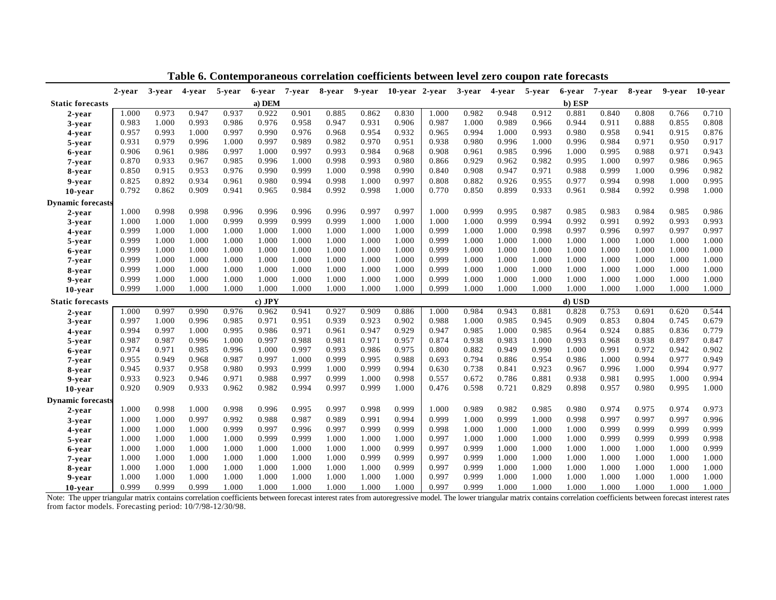|                          | 2-year | 3-year | 4-year | 5-year | 6-year | 7-year | 8-year | 9-year | 10-year 2-year |       | 3-year | 4-year | 5-year | 6-year | 7-year | 8-year | 9-year | 10-year |
|--------------------------|--------|--------|--------|--------|--------|--------|--------|--------|----------------|-------|--------|--------|--------|--------|--------|--------|--------|---------|
| <b>Static forecasts</b>  |        |        |        |        | a) DEM |        |        |        |                |       |        |        |        | b) ESP |        |        |        |         |
| 2-year                   | 1.000  | 0.973  | 0.947  | 0.937  | 0.922  | 0.901  | 0.885  | 0.862  | 0.830          | 1.000 | 0.982  | 0.948  | 0.912  | 0.881  | 0.840  | 0.808  | 0.766  | 0.710   |
| 3-year                   | 0.983  | 1.000  | 0.993  | 0.986  | 0.976  | 0.958  | 0.947  | 0.931  | 0.906          | 0.987 | 1.000  | 0.989  | 0.966  | 0.944  | 0.911  | 0.888  | 0.855  | 0.808   |
| 4-year                   | 0.957  | 0.993  | 1.000  | 0.997  | 0.990  | 0.976  | 0.968  | 0.954  | 0.932          | 0.965 | 0.994  | 1.000  | 0.993  | 0.980  | 0.958  | 0.941  | 0.915  | 0.876   |
| 5-year                   | 0.931  | 0.979  | 0.996  | 1.000  | 0.997  | 0.989  | 0.982  | 0.970  | 0.951          | 0.938 | 0.980  | 0.996  | 1.000  | 0.996  | 0.984  | 0.971  | 0.950  | 0.917   |
| 6-year                   | 0.906  | 0.961  | 0.986  | 0.997  | 1.000  | 0.997  | 0.993  | 0.984  | 0.968          | 0.908 | 0.961  | 0.985  | 0.996  | 1.000  | 0.995  | 0.988  | 0.971  | 0.943   |
| 7-year                   | 0.870  | 0.933  | 0.967  | 0.985  | 0.996  | 1.000  | 0.998  | 0.993  | 0.980          | 0.866 | 0.929  | 0.962  | 0.982  | 0.995  | 1.000  | 0.997  | 0.986  | 0.965   |
| 8-year                   | 0.850  | 0.915  | 0.953  | 0.976  | 0.990  | 0.999  | 1.000  | 0.998  | 0.990          | 0.840 | 0.908  | 0.947  | 0.971  | 0.988  | 0.999  | 1.000  | 0.996  | 0.982   |
| 9-year                   | 0.825  | 0.892  | 0.934  | 0.961  | 0.980  | 0.994  | 0.998  | 1.000  | 0.997          | 0.808 | 0.882  | 0.926  | 0.955  | 0.977  | 0.994  | 0.998  | 1.000  | 0.995   |
| 10-year                  | 0.792  | 0.862  | 0.909  | 0.941  | 0.965  | 0.984  | 0.992  | 0.998  | 1.000          | 0.770 | 0.850  | 0.899  | 0.933  | 0.961  | 0.984  | 0.992  | 0.998  | 1.000   |
| <b>Dynamic forecasts</b> |        |        |        |        |        |        |        |        |                |       |        |        |        |        |        |        |        |         |
| 2-year                   | 1.000  | 0.998  | 0.998  | 0.996  | 0.996  | 0.996  | 0.996  | 0.997  | 0.997          | 1.000 | 0.999  | 0.995  | 0.987  | 0.985  | 0.983  | 0.984  | 0.985  | 0.986   |
| 3-year                   | 1.000  | 1.000  | 1.000  | 0.999  | 0.999  | 0.999  | 0.999  | 1.000  | 1.000          | 1.000 | 1.000  | 0.999  | 0.994  | 0.992  | 0.991  | 0.992  | 0.993  | 0.993   |
| 4-year                   | 0.999  | 1.000  | 1.000  | 1.000  | 1.000  | 1.000  | 1.000  | 1.000  | 1.000          | 0.999 | 1.000  | 1.000  | 0.998  | 0.997  | 0.996  | 0.997  | 0.997  | 0.997   |
| 5-year                   | 0.999  | 1.000  | 1.000  | 1.000  | 1.000  | 1.000  | 1.000  | 1.000  | 1.000          | 0.999 | 1.000  | 1.000  | 1.000  | 1.000  | 1.000  | 1.000  | 1.000  | 1.000   |
| 6-year                   | 0.999  | 1.000  | 1.000  | 1.000  | 1.000  | 1.000  | 1.000  | 1.000  | 1.000          | 0.999 | 1.000  | 1.000  | 1.000  | 1.000  | 1.000  | 1.000  | 1.000  | 1.000   |
| 7-year                   | 0.999  | 1.000  | 1.000  | 1.000  | 1.000  | 1.000  | 1.000  | 1.000  | 1.000          | 0.999 | 1.000  | 1.000  | 1.000  | 1.000  | 1.000  | 1.000  | 1.000  | 1.000   |
| 8-year                   | 0.999  | 1.000  | 1.000  | 1.000  | 1.000  | 1.000  | 1.000  | 1.000  | 1.000          | 0.999 | 1.000  | 1.000  | 1.000  | 1.000  | 1.000  | 1.000  | 1.000  | 1.000   |
| 9-year                   | 0.999  | 1.000  | 1.000  | 1.000  | 1.000  | 1.000  | 1.000  | 1.000  | 1.000          | 0.999 | 1.000  | 1.000  | 1.000  | 1.000  | 1.000  | 1.000  | 1.000  | 1.000   |
| 10-year                  | 0.999  | 1.000  | 1.000  | 1.000  | 1.000  | 1.000  | 1.000  | 1.000  | 1.000          | 0.999 | 1.000  | 1.000  | 1.000  | 1.000  | 1.000  | 1.000  | 1.000  | 1.000   |
| <b>Static forecasts</b>  |        |        |        |        | c) JPY |        |        |        |                |       |        |        |        | d) USD |        |        |        |         |
| 2-year                   | 1.000  | 0.997  | 0.990  | 0.976  | 0.962  | 0.941  | 0.927  | 0.909  | 0.886          | 1.000 | 0.984  | 0.943  | 0.881  | 0.828  | 0.753  | 0.691  | 0.620  | 0.544   |
| 3-year                   | 0.997  | 1.000  | 0.996  | 0.985  | 0.971  | 0.951  | 0.939  | 0.923  | 0.902          | 0.988 | 1.000  | 0.985  | 0.945  | 0.909  | 0.853  | 0.804  | 0.745  | 0.679   |
| 4-year                   | 0.994  | 0.997  | 1.000  | 0.995  | 0.986  | 0.971  | 0.961  | 0.947  | 0.929          | 0.947 | 0.985  | 1.000  | 0.985  | 0.964  | 0.924  | 0.885  | 0.836  | 0.779   |
| 5-year                   | 0.987  | 0.987  | 0.996  | 1.000  | 0.997  | 0.988  | 0.981  | 0.971  | 0.957          | 0.874 | 0.938  | 0.983  | 1.000  | 0.993  | 0.968  | 0.938  | 0.897  | 0.847   |
| 6-year                   | 0.974  | 0.971  | 0.985  | 0.996  | 1.000  | 0.997  | 0.993  | 0.986  | 0.975          | 0.800 | 0.882  | 0.949  | 0.990  | 1.000  | 0.991  | 0.972  | 0.942  | 0.902   |
| 7-year                   | 0.955  | 0.949  | 0.968  | 0.987  | 0.997  | 1.000  | 0.999  | 0.995  | 0.988          | 0.693 | 0.794  | 0.886  | 0.954  | 0.986  | 1.000  | 0.994  | 0.977  | 0.949   |
| 8-year                   | 0.945  | 0.937  | 0.958  | 0.980  | 0.993  | 0.999  | 1.000  | 0.999  | 0.994          | 0.630 | 0.738  | 0.841  | 0.923  | 0.967  | 0.996  | 1.000  | 0.994  | 0.977   |
| 9-year                   | 0.933  | 0.923  | 0.946  | 0.971  | 0.988  | 0.997  | 0.999  | 1.000  | 0.998          | 0.557 | 0.672  | 0.786  | 0.881  | 0.938  | 0.981  | 0.995  | 1.000  | 0.994   |
| 10-year                  | 0.920  | 0.909  | 0.933  | 0.962  | 0.982  | 0.994  | 0.997  | 0.999  | 1.000          | 0.476 | 0.598  | 0.721  | 0.829  | 0.898  | 0.957  | 0.980  | 0.995  | 1.000   |
| <b>Dynamic forecasts</b> |        |        |        |        |        |        |        |        |                |       |        |        |        |        |        |        |        |         |
| 2-year                   | 1.000  | 0.998  | 1.000  | 0.998  | 0.996  | 0.995  | 0.997  | 0.998  | 0.999          | 1.000 | 0.989  | 0.982  | 0.985  | 0.980  | 0.974  | 0.975  | 0.974  | 0.973   |
| 3-year                   | 1.000  | 1.000  | 0.997  | 0.992  | 0.988  | 0.987  | 0.989  | 0.991  | 0.994          | 0.999 | 1.000  | 0.999  | 1.000  | 0.998  | 0.997  | 0.997  | 0.997  | 0.996   |
| 4-year                   | 1.000  | 1.000  | 1.000  | 0.999  | 0.997  | 0.996  | 0.997  | 0.999  | 0.999          | 0.998 | 1.000  | 1.000  | 1.000  | 1.000  | 0.999  | 0.999  | 0.999  | 0.999   |
| 5-year                   | 1.000  | 1.000  | 1.000  | 1.000  | 0.999  | 0.999  | 1.000  | 1.000  | 1.000          | 0.997 | 1.000  | 1.000  | 1.000  | 1.000  | 0.999  | 0.999  | 0.999  | 0.998   |
| 6-year                   | 1.000  | 1.000  | 1.000  | 1.000  | 1.000  | 1.000  | 1.000  | 1.000  | 0.999          | 0.997 | 0.999  | 1.000  | 1.000  | 1.000  | 1.000  | 1.000  | 1.000  | 0.999   |
| 7-year                   | 1.000  | 1.000  | 1.000  | 1.000  | 1.000  | 1.000  | 1.000  | 0.999  | 0.999          | 0.997 | 0.999  | 1.000  | 1.000  | 1.000  | 1.000  | 1.000  | 1.000  | 1.000   |
| 8-year                   | 1.000  | 1.000  | 1.000  | 1.000  | 1.000  | 1.000  | 1.000  | 1.000  | 0.999          | 0.997 | 0.999  | 1.000  | 1.000  | 1.000  | 1.000  | 1.000  | 1.000  | 1.000   |
| 9-year                   | 1.000  | 1.000  | 1.000  | 1.000  | 1.000  | 1.000  | 1.000  | 1.000  | 1.000          | 0.997 | 0.999  | 1.000  | 1.000  | 1.000  | 1.000  | 1.000  | 1.000  | 1.000   |
| 10-year                  | 0.999  | 0.999  | 0.999  | 1.000  | 1.000  | 1.000  | 1.000  | 1.000  | 1.000          | 0.997 | 0.999  | 1.000  | 1.000  | 1.000  | 1.000  | 1.000  | 1.000  | 1.000   |

**Table 6. Contemporaneous correlation coefficients between level zero coupon rate forecasts**

Note: The upper triangular matrix contains correlation coefficients between forecast interest rates from autoregressive model. The lower triangular matrix contains correlation coefficients between forecast interest rates from factor models. Forecasting period: 10/7/98-12/30/98.